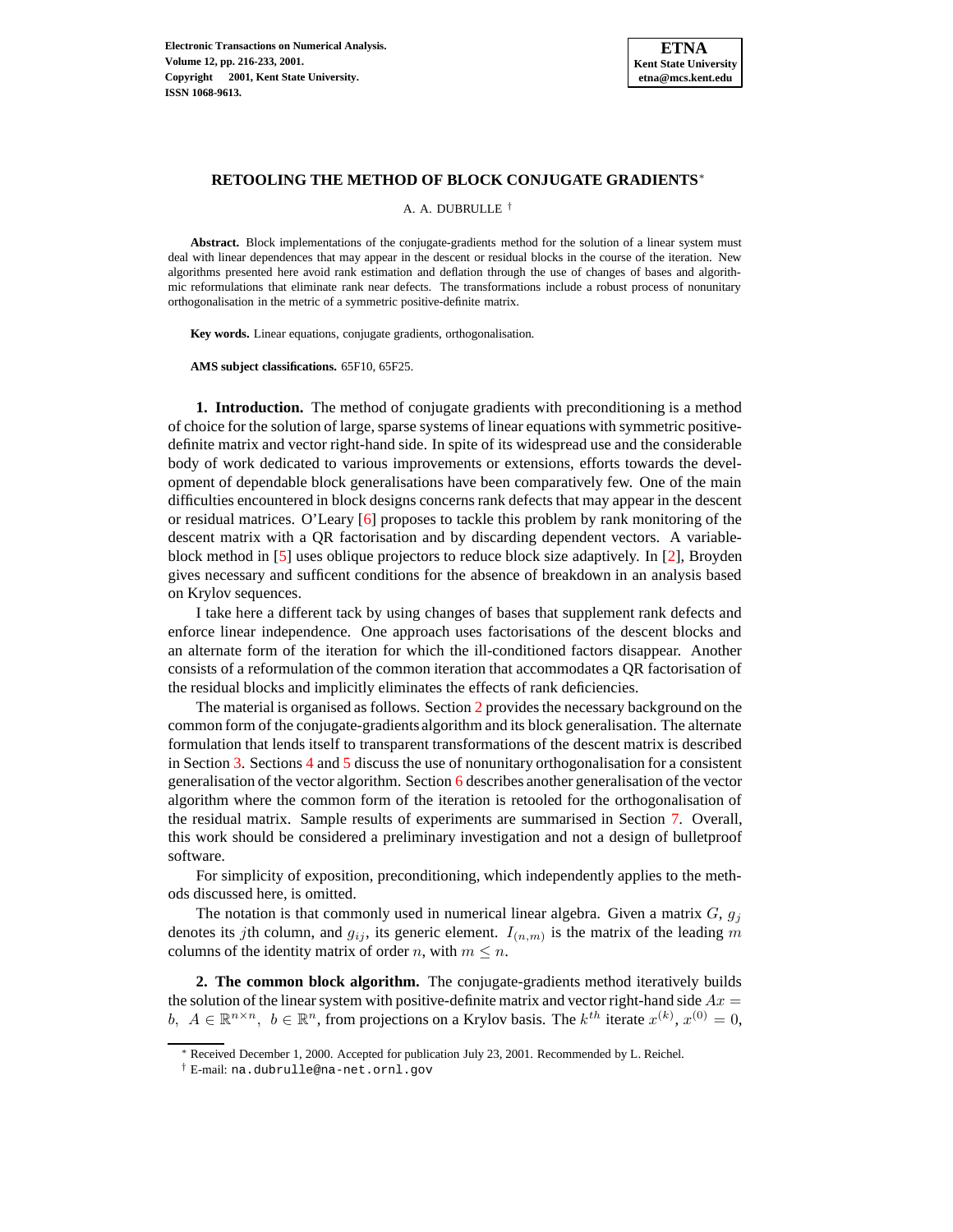

### **RETOOLING THE METHOD OF BLOCK CONJUGATE GRADIENTS**<sup>∗</sup>

A. A. DUBRULLE †

**Abstract.** Block implementations of the conjugate-gradients method for the solution of a linear system must deal with linear dependences that may appear in the descent or residual blocks in the course of the iteration. New algorithms presented here avoid rank estimation and deflation through the use of changes of bases and algorithmic reformulations that eliminate rank near defects. The transformations include a robust process of nonunitary orthogonalisation in the metric of a symmetric positive-definite matrix.

**Key words.** Linear equations, conjugate gradients, orthogonalisation.

**AMS subject classifications.** 65F10, 65F25.

**1. Introduction.** The method of conjugate gradients with preconditioning is a method of choice for the solution of large, sparse systems of linear equations with symmetric positivedefinite matrix and vector right-hand side. In spite of its widespread use and the considerable body of work dedicated to various improvements or extensions, efforts towards the development of dependable block generalisations have been comparatively few. One of the main difficulties encountered in block designs concerns rank defects that may appear in the descent or residual matrices. O'Leary [\[6\]](#page-12-0) proposes to tackle this problem by rank monitoring of the descent matrix with a QR factorisation and by discarding dependent vectors. A variableblock method in [\[5\]](#page-12-1) uses oblique projectors to reduce block size adaptively. In [\[2\]](#page-12-2), Broyden gives necessary and sufficent conditions for the absence of breakdown in an analysis based on Krylov sequences.

I take here a different tack by using changes of bases that supplement rank defects and enforce linear independence. One approach uses factorisations of the descent blocks and an alternate form of the iteration for which the ill-conditioned factors disappear. Another consists of a reformulation of the common iteration that accommodates a QR factorisation of the residual blocks and implicitly eliminates the effects of rank deficiencies.

The material is organised as follows. Section [2](#page-0-0) provides the necessary background on the common form of the conjugate-gradients algorithm and its block generalisation. The alternate formulation that lends itself to transparent transformations of the descent matrix is described in Section [3.](#page-2-0) Sections [4](#page-4-0) and [5](#page-6-0) discuss the use of nonunitary orthogonalisation for a consistent generalisation of the vector algorithm. Section [6](#page-9-0) describes another generalisation of the vector algorithm where the common form of the iteration is retooled for the orthogonalisation of the residual matrix. Sample results of experiments are summarised in Section [7.](#page-10-0) Overall, this work should be considered a preliminary investigation and not a design of bulletproof software.

For simplicity of exposition, preconditioning, which independently applies to the methods discussed here, is omitted.

The notation is that commonly used in numerical linear algebra. Given a matrix  $G, g_j$ denotes its *j*th column, and  $g_{ij}$ , its generic element.  $I_{(n,m)}$  is the matrix of the leading m columns of the identity matrix of order *n*, with  $m \leq n$ .

<span id="page-0-0"></span>**2. The common block algorithm.** The conjugate-gradients method iteratively builds the solution of the linear system with positive-definite matrix and vector right-hand side  $Ax =$ b,  $A \in \mathbb{R}^{n \times n}$ ,  $b \in \mathbb{R}^n$ , from projections on a Krylov basis. The  $k^{th}$  iterate  $x^{(k)}$ ,  $x^{(0)} = 0$ ,

<sup>∗</sup> Received December 1, 2000. Accepted for publication July 23, 2001. Recommended by L. Reichel.

<sup>†</sup> E-mail: na.dubrulle@na-net.ornl.gov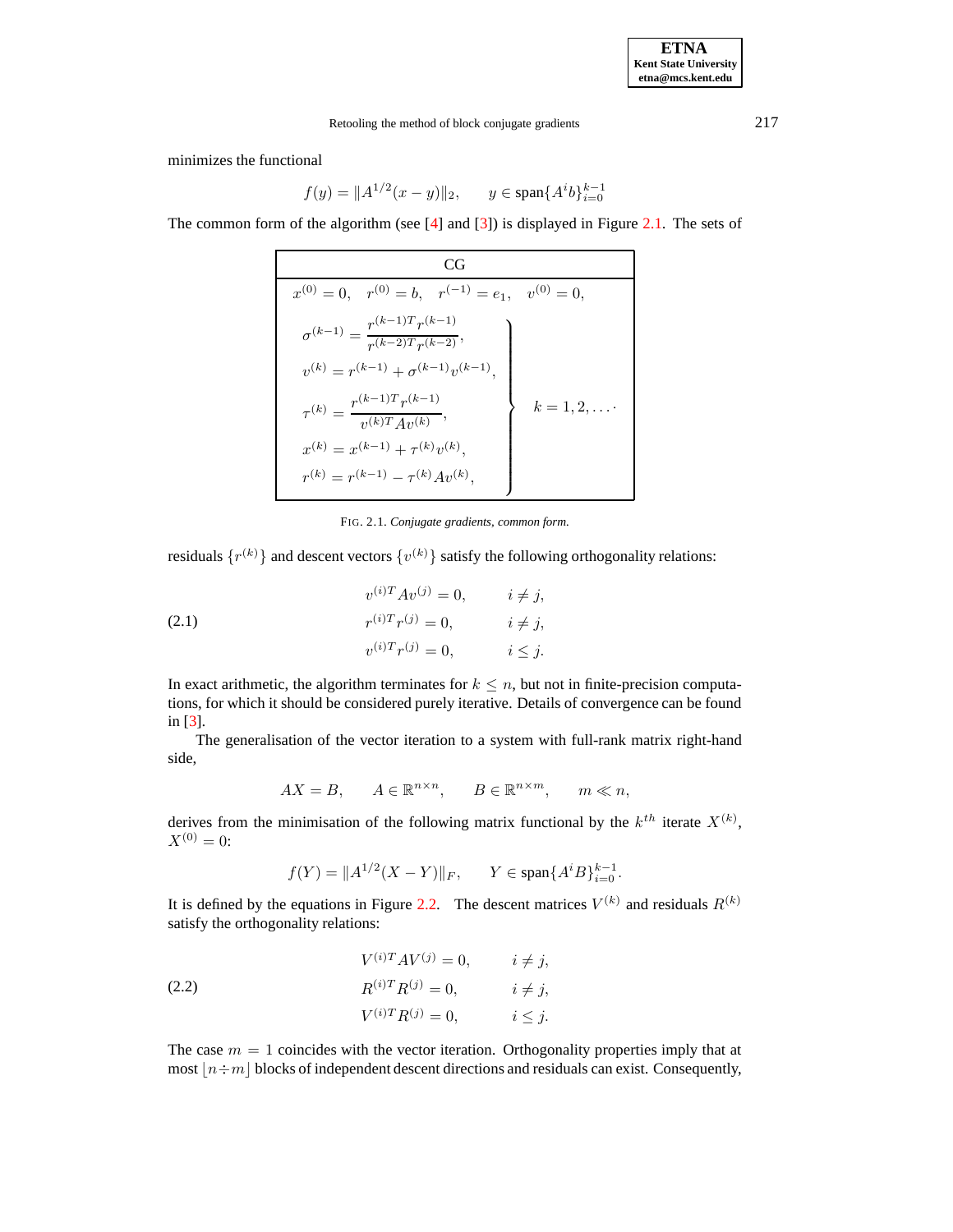minimizes the functional

$$
f(y) = \|A^{1/2}(x - y)\|_2, \qquad y \in \text{span}\{A^i b\}_{i=0}^{k-1}
$$

The common form of the algorithm (see [\[4\]](#page-12-3) and [\[3\]](#page-12-4)) is displayed in Figure [2.1.](#page-10-1) The sets of

| CC i                                                                  |                |
|-----------------------------------------------------------------------|----------------|
| $x^{(0)} = 0$ , $r^{(0)} = b$ , $r^{(-1)} = e_1$ , $v^{(0)} = 0$ ,    |                |
| $\sigma^{(k-1)} = \frac{r^{(k-1)T} r^{(k-1)}}{r^{(k-2)T} r^{(k-2)}},$ |                |
| $v^{(k)} = r^{(k-1)} + \sigma^{(k-1)}v^{(k-1)},$                      |                |
| $\tau^{(k)} = \frac{r^{(k-1)T}r^{(k-1)}}{v^{(k)T}Av^{(k)}},$          | $k=1,2,\ldots$ |
| $x^{(k)} = x^{(k-1)} + \tau^{(k)}v^{(k)},$                            |                |
| $r^{(k)} = r^{(k-1)} - \tau^{(k)}Av^{(k)},$                           |                |

FIG. 2.1. *Conjugate gradients, common form.*

residuals  $\{r^{(k)}\}$  and descent vectors  $\{v^{(k)}\}$  satisfy the following orthogonality relations:

<span id="page-1-0"></span>(2.1) 
$$
v^{(i)T} A v^{(j)} = 0, \t i \neq j,
$$

$$
r^{(i)T} r^{(j)} = 0, \t i \neq j,
$$

$$
v^{(i)T} r^{(j)} = 0, \t i \leq j.
$$

In exact arithmetic, the algorithm terminates for  $k \leq n$ , but not in finite-precision computations, for which it should be considered purely iterative. Details of convergence can be found in [\[3\]](#page-12-4).

The generalisation of the vector iteration to a system with full-rank matrix right-hand side,

$$
AX = B, \qquad A \in \mathbb{R}^{n \times n}, \qquad B \in \mathbb{R}^{n \times m}, \qquad m \ll n,
$$

derives from the minimisation of the following matrix functional by the  $k^{th}$  iterate  $X^{(k)}$ ,  $X^{(0)} = 0$ :

$$
f(Y) = \|A^{1/2}(X - Y)\|_F, \qquad Y \in \text{span}\{A^i B\}_{i=0}^{k-1}.
$$

It is defined by the equations in Figure [2.2.](#page-11-0) The descent matrices  $V^{(k)}$  and residuals  $R^{(k)}$ satisfy the orthogonality relations:

<span id="page-1-1"></span>(2.2) 
$$
V^{(i)T}AV^{(j)} = 0, \qquad i \neq j,
$$

$$
R^{(i)T}R^{(j)} = 0, \qquad i \neq j,
$$

$$
V^{(i)T}R^{(j)} = 0, \qquad i \leq j.
$$

The case  $m = 1$  coincides with the vector iteration. Orthogonality properties imply that at most  $|n \div m|$  blocks of independent descent directions and residuals can exist. Consequently,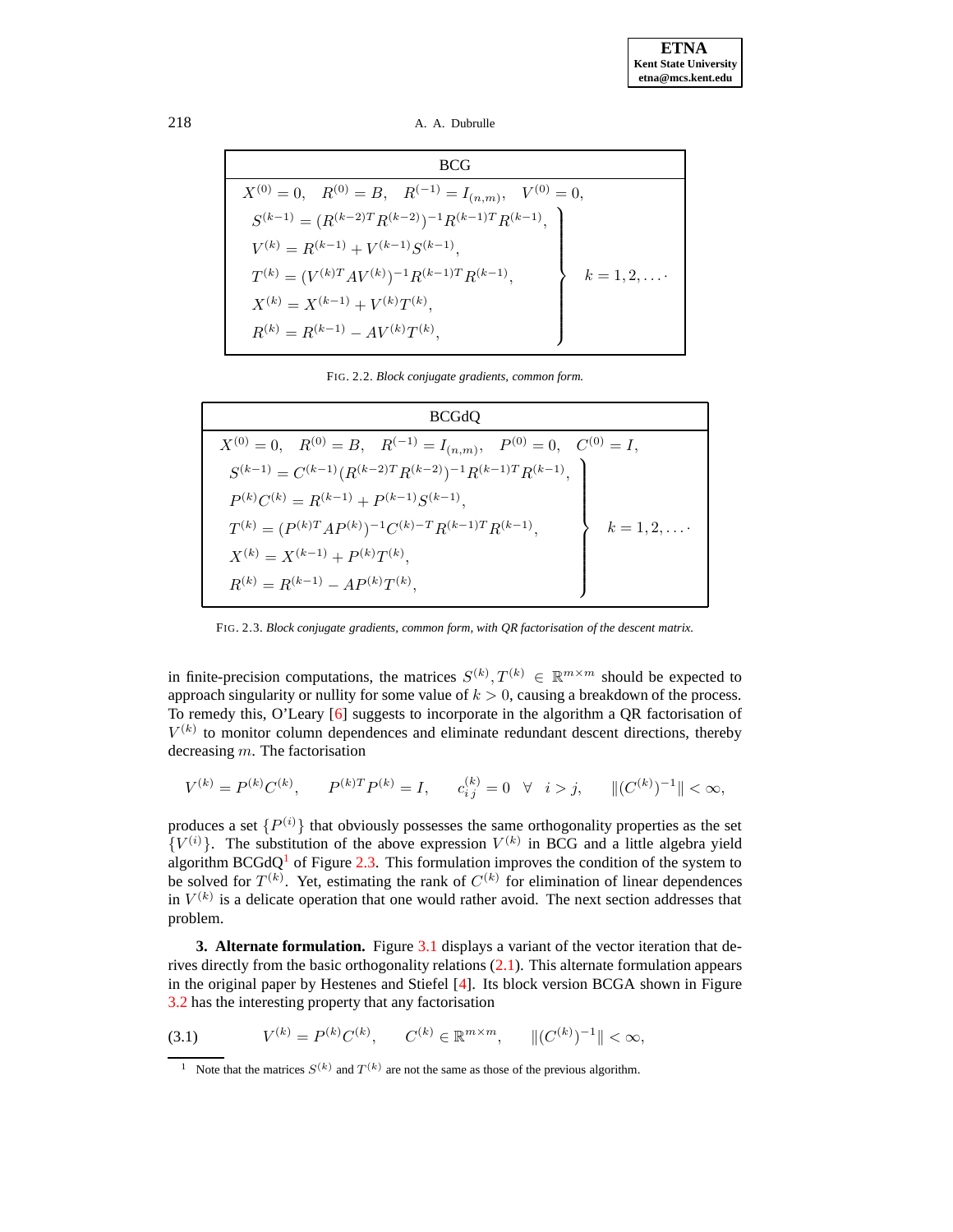218 A. A. Dubrulle

| <b>BCG</b>                                                                          |
|-------------------------------------------------------------------------------------|
| $X^{(0)} = 0$ , $R^{(0)} = B$ , $R^{(-1)} = I_{(n,m)}$ ,<br>$V^{(0)}=0,$            |
| $S^{(k-1)} = (R^{(k-2)T} R^{(k-2)})^{-1} R^{(k-1)T} R^{(k-1)}, \quad \label{eq:11}$ |
| $V^{(k)} = R^{(k-1)} + V^{(k-1)}S^{(k-1)},$                                         |
| $T^{(k)} = (V^{(k)T}AV^{(k)})^{-1}R^{(k-1)T}R^{(k-1)},$                             |
| $X^{(k)} = X^{(k-1)} + V^{(k)}T^{(k)},$                                             |
| $R^{(k)} = R^{(k-1)} - AV^{(k)}T^{(k)},$                                            |

FIG. 2.2. *Block conjugate gradients, common form.*

| <b>BCGdQ</b>                                                                             |  |  |  |  |
|------------------------------------------------------------------------------------------|--|--|--|--|
| $X^{(0)} = 0$ , $R^{(0)} = B$ , $R^{(-1)} = I_{(n,m)}$ , $P^{(0)} = 0$ , $C^{(0)} = I$ , |  |  |  |  |
| $S^{(k-1)} = C^{(k-1)}(R^{(k-2)T}R^{(k-2)})^{-1}R^{(k-1)T}R^{(k-1)}$                     |  |  |  |  |
| $P^{(k)}C^{(k)} = R^{(k-1)} + P^{(k-1)}S^{(k-1)},$                                       |  |  |  |  |
| $T^{(k)} = (P^{(k)T}AP^{(k)})^{-1}C^{(k)-T}R^{(k-1)T}R^{(k-1)},$                         |  |  |  |  |
| $X^{(k)} = X^{(k-1)} + P^{(k)}T^{(k)},$                                                  |  |  |  |  |
| $R^{(k)} = R^{(k-1)} - AP^{(k)}T^{(k)},$                                                 |  |  |  |  |

FIG. 2.3. *Block conjugate gradients, common form, with QR factorisation of the descent matrix.*

in finite-precision computations, the matrices  $S^{(k)}, T^{(k)} \in \mathbb{R}^{m \times m}$  should be expected to approach singularity or nullity for some value of  $k > 0$ , causing a breakdown of the process. To remedy this, O'Leary [\[6\]](#page-12-0) suggests to incorporate in the algorithm a QR factorisation of  $V^{(k)}$  to monitor column dependences and eliminate redundant descent directions, thereby decreasing m. The factorisation

$$
V^{(k)} = P^{(k)}C^{(k)}, \qquad P^{(k)T}P^{(k)} = I, \qquad c_{i\,j}^{(k)} = 0 \quad \forall \quad i > j, \qquad \|(C^{(k)})^{-1}\| < \infty,
$$

produces a set  $\{P^{(i)}\}$  that obviously possesses the same orthogonality properties as the set  $\{V^{(i)}\}\$ . The substitution of the above expression  $V^{(k)}$  in BCG and a little algebra yield algorithm BCGdQ<sup>[1](#page-2-1)</sup> of Figure [2.3.](#page-4-1) This formulation improves the condition of the system to be solved for  $T^{(k)}$ . Yet, estimating the rank of  $C^{(k)}$  for elimination of linear dependences in  $V^{(k)}$  is a delicate operation that one would rather avoid. The next section addresses that problem.

<span id="page-2-0"></span>**3. Alternate formulation.** Figure [3.1](#page-10-1) displays a variant of the vector iteration that derives directly from the basic orthogonality relations [\(2.1\)](#page-1-0). This alternate formulation appears in the original paper by Hestenes and Stiefel [\[4\]](#page-12-3). Its block version BCGA shown in Figure [3.2](#page-11-0) has the interesting property that any factorisation

<span id="page-2-2"></span>(3.1)  $V^{(k)} = P^{(k)}C^{(k)}, \quad C^{(k)} \in \mathbb{R}^{m \times m}, \quad ||(C^{(k)})^{-1}|| < \infty,$ 

<span id="page-2-1"></span><sup>&</sup>lt;sup>1</sup> Note that the matrices  $S^{(k)}$  and  $T^{(k)}$  are not the same as those of the previous algorithm.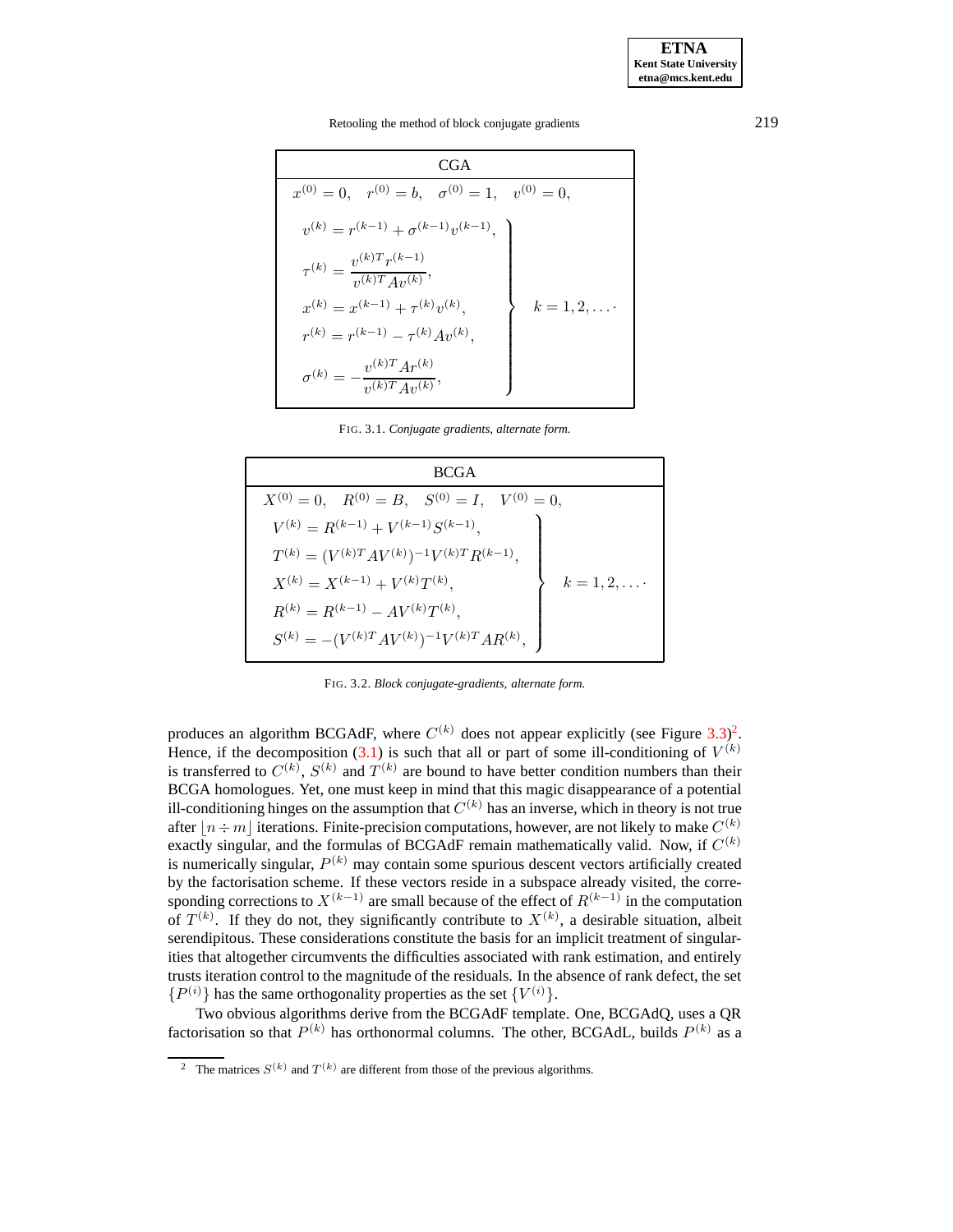Retooling the method of block conjugate gradients 219

| CGA                                                                  |              |
|----------------------------------------------------------------------|--------------|
| $x^{(0)} = 0$ , $r^{(0)} = b$ , $\sigma^{(0)} = 1$ , $v^{(0)} = 0$ , |              |
| $v^{(k)} = r^{(k-1)} + \sigma^{(k-1)}v^{(k-1)},$                     |              |
| $\tau^{(k)} = \frac{v^{(k)T}r^{(k-1)}}{v^{(k)T}Av^{(k)}},$           |              |
| $x^{(k)} = x^{(k-1)} + \tau^{(k)}v^{(k)},$                           | $k = 1, 2, $ |
| $r^{(k)} = r^{(k-1)} - \tau^{(k)}Av^{(k)},$                          |              |
| $\sigma^{(k)}=-\frac{v^{(k)T}Ar^{(k)}}{v^{(k)T}Av^{(k)}},$           |              |

FIG. 3.1. *Conjugate gradients, alternate form.*

| <b>BCGA</b>                                                     |              |
|-----------------------------------------------------------------|--------------|
| $X^{(0)} = 0$ , $R^{(0)} = B$ , $S^{(0)} = I$ , $V^{(0)} = 0$ , |              |
| $V^{(k)} = R^{(k-1)} + V^{(k-1)}S^{(k-1)},$                     |              |
| $T^{(k)} = (V^{(k)T}AV^{(k)})^{-1}V^{(k)T}R^{(k-1)},$           |              |
| $X^{(k)} = X^{(k-1)} + V^{(k)}T^{(k)},$                         | $k = 1, 2, $ |
| $R^{(k)} = R^{(k-1)} - AV^{(k)}T^{(k)},$                        |              |
| $S^{(k)} = - (V^{(k)T}AV^{(k)})^{-1}V^{(k)T}AR^{(k)},$          |              |

FIG. 3.2. *Block conjugate-gradients, alternate form.*

produces an algorithm BCGAdF, where  $C^{(k)}$  does not appear explicitly (see Figure [3.3\)](#page-4-1)<sup>[2](#page-3-0)</sup>. Hence, if the decomposition [\(3.1\)](#page-2-2) is such that all or part of some ill-conditioning of  $V^{(k)}$ is transferred to  $C^{(k)}$ ,  $S^{(k)}$  and  $T^{(k)}$  are bound to have better condition numbers than their BCGA homologues. Yet, one must keep in mind that this magic disappearance of a potential ill-conditioning hinges on the assumption that  $C^{(k)}$  has an inverse, which in theory is not true after  $\lfloor n \div m \rfloor$  iterations. Finite-precision computations, however, are not likely to make  $C^{(k)}$ exactly singular, and the formulas of BCGAdF remain mathematically valid. Now, if  $C^{(k)}$ is numerically singular,  $P^{(k)}$  may contain some spurious descent vectors artificially created by the factorisation scheme. If these vectors reside in a subspace already visited, the corresponding corrections to  $X^{(k-1)}$  are small because of the effect of  $R^{(k-1)}$  in the computation of  $T^{(k)}$ . If they do not, they significantly contribute to  $X^{(k)}$ , a desirable situation, albeit serendipitous. These considerations constitute the basis for an implicit treatment of singularities that altogether circumvents the difficulties associated with rank estimation, and entirely trusts iteration control to the magnitude of the residuals. In the absence of rank defect, the set  $\{P^{(i)}\}$  has the same orthogonality properties as the set  $\{V^{(i)}\}.$ 

Two obvious algorithms derive from the BCGAdF template. One, BCGAdQ, uses a QR factorisation so that  $P^{(k)}$  has orthonormal columns. The other, BCGAdL, builds  $P^{(k)}$  as a

<span id="page-3-0"></span><sup>&</sup>lt;sup>2</sup> The matrices  $S^{(k)}$  and  $T^{(k)}$  are different from those of the previous algorithms.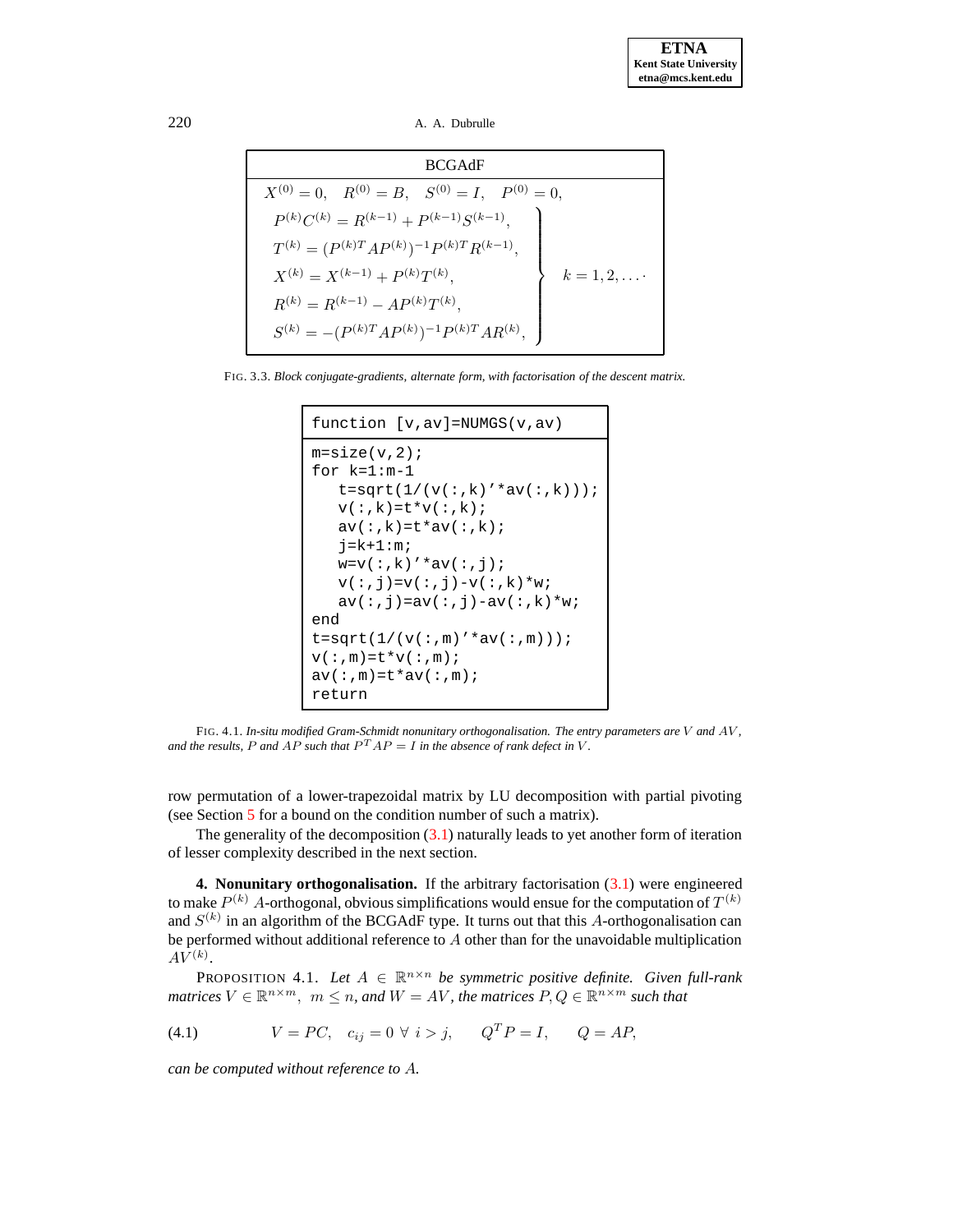220 A. A. Dubrulle

| <b>BCGAdF</b>                                                   |               |
|-----------------------------------------------------------------|---------------|
| $X^{(0)} = 0$ , $R^{(0)} = B$ , $S^{(0)} = I$ , $P^{(0)} = 0$ , |               |
| $P^{(k)}C^{(k)} = R^{(k-1)} + P^{(k-1)}S^{(k-1)},$              |               |
| $T^{(k)} = (P^{(k)T}AP^{(k)})^{-1}P^{(k)T}R^{(k-1)},$           |               |
| $X^{(k)} = X^{(k-1)} + P^{(k)}T^{(k)},$                         | $k = 1, 2,$ . |
| $R^{(k)} = R^{(k-1)} - AP^{(k)}T^{(k)},$                        |               |
| $S^{(k)} = - (P^{(k)T}AP^{(k)})^{-1}P^{(k)T}AR^{(k)},$          |               |

<span id="page-4-1"></span>FIG. 3.3. *Block conjugate-gradients, alternate form, with factorisation of the descent matrix.*

```
function [v,av]=NUMGS(v,av)
m=size(v,2);for k=1:m-1
   t = sqrt(1/(v(:,k)'*av(:,k)));
   v(:,k)=t*v(:,k);av(:,k)=t*av(:,k);j=k+1:m;w=v(:,k)'*av(:,j);
   v(:,j)=v(:,j)-v(:,k)*w;av(:,j)=av(:,j)-av(:,k)*w;end
t = sqrt(1/(v(:,m) ' * av(:,m)));
\mathbf{v}(\boldsymbol{:},\mathbf{m})\!=\!\mathbf{t}\!\star\!\mathbf{v}(\boldsymbol{:},\mathbf{m}) ;
av(:, m)=t*av(:, m);return
```
FIG. 4.1. *In-situ modified Gram-Schmidt nonunitary orthogonalisation. The entry parameters are* V *and* AV *, and* the results, P and  $AP$  such that  $P^{T}AP = I$  in the absence of rank defect in V.

row permutation of a lower-trapezoidal matrix by LU decomposition with partial pivoting (see Section [5](#page-6-0) for a bound on the condition number of such a matrix).

The generality of the decomposition  $(3.1)$  naturally leads to yet another form of iteration of lesser complexity described in the next section.

<span id="page-4-0"></span>**4. Nonunitary orthogonalisation.** If the arbitrary factorisation [\(3.1\)](#page-2-2) were engineered to make  $P^{(k)}$  A-orthogonal, obvious simplifications would ensue for the computation of  $T^{(k)}$ and  $S^{(k)}$  in an algorithm of the BCGAdF type. It turns out that this A-orthogonalisation can be performed without additional reference to A other than for the unavoidable multiplication  $AV^{(k)}$ .

PROPOSITION 4.1. Let  $A \in \mathbb{R}^{n \times n}$  be symmetric positive definite. Given full-rank  $m$  *matrices*  $V \in \mathbb{R}^{n \times m}$ ,  $m \leq n$ , and  $W = AV$ , the matrices  $P, Q \in \mathbb{R}^{n \times m}$  such that

<span id="page-4-2"></span>(4.1) 
$$
V = PC
$$
,  $c_{ij} = 0 \ \forall \ i > j$ ,  $Q^T P = I$ ,  $Q = AP$ ,

*can be computed without reference to* A*.*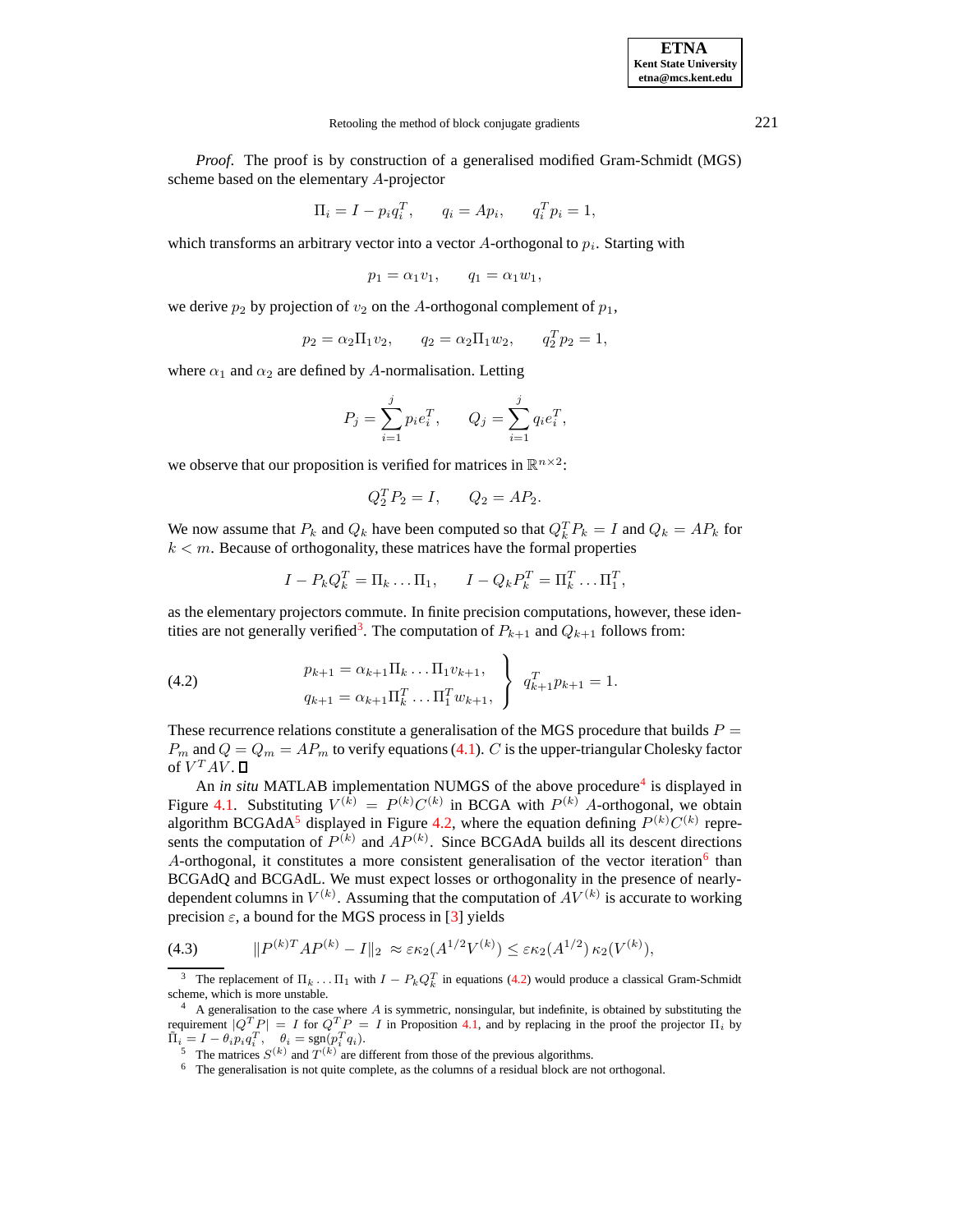#### Retooling the method of block conjugate gradients 221

*Proof*. The proof is by construction of a generalised modified Gram-Schmidt (MGS) scheme based on the elementary A-projector

$$
\Pi_i = I - p_i q_i^T, \qquad q_i = Ap_i, \qquad q_i^T p_i = 1,
$$

which transforms an arbitrary vector into a vector  $A$ -orthogonal to  $p_i$ . Starting with

$$
p_1 = \alpha_1 v_1, \qquad q_1 = \alpha_1 w_1,
$$

we derive  $p_2$  by projection of  $v_2$  on the A-orthogonal complement of  $p_1$ ,

$$
p_2 = \alpha_2 \Pi_1 v_2
$$
,  $q_2 = \alpha_2 \Pi_1 w_2$ ,  $q_2^T p_2 = 1$ ,

where  $\alpha_1$  and  $\alpha_2$  are defined by A-normalisation. Letting

$$
P_j = \sum_{i=1}^j p_i e_i^T, \qquad Q_j = \sum_{i=1}^j q_i e_i^T,
$$

we observe that our proposition is verified for matrices in  $\mathbb{R}^{n \times 2}$ :

$$
Q_2^T P_2 = I, \qquad Q_2 = AP_2.
$$

We now assume that  $P_k$  and  $Q_k$  have been computed so that  $Q_k^T P_k = I$  and  $Q_k = AP_k$  for  $k < m$ . Because of orthogonality, these matrices have the formal properties

$$
I - P_k Q_k^T = \Pi_k \dots \Pi_1, \qquad I - Q_k P_k^T = \Pi_k^T \dots \Pi_1^T,
$$

as the elementary projectors commute. In finite precision computations, however, these iden-tities are not generally verified<sup>[3](#page-5-0)</sup>. The computation of  $P_{k+1}$  and  $Q_{k+1}$  follows from:

<span id="page-5-4"></span>(4.2) 
$$
p_{k+1} = \alpha_{k+1} \Pi_k \dots \Pi_1 v_{k+1},
$$

$$
q_{k+1} = \alpha_{k+1} \Pi_k^T \dots \Pi_1^T w_{k+1},
$$

$$
q_{k+1}^T p_{k+1} = 1.
$$

These recurrence relations constitute a generalisation of the MGS procedure that builds  $P =$  $P_m$  and  $Q = Q_m = AP_m$  to verify equations [\(4.1\)](#page-4-2). C is the upper-triangular Cholesky factor of  $V^TAV$ .

An *in situ* MATLAB implementation NUMGS of the above procedure<sup>[4](#page-5-1)</sup> is displayed in Figure [4.1.](#page-10-1) Substituting  $V^{(k)} = P^{(k)}C^{(k)}$  in BCGA with  $P^{(k)}$  A-orthogonal, we obtain algorithm BCGAdA<sup>[5](#page-5-2)</sup> displayed in Figure [4.2,](#page-11-0) where the equation defining  $P^{(k)}C^{(k)}$  represents the computation of  $P^{(k)}$  and  $AP^{(k)}$ . Since BCGAdA builds all its descent directions A-orthogonal, it constitutes a more consistent generalisation of the vector iteration<sup>[6](#page-5-3)</sup> than BCGAdQ and BCGAdL. We must expect losses or orthogonality in the presence of nearlydependent columns in  $V^{(k)}$ . Assuming that the computation of  $AV^{(k)}$  is accurate to working precision  $\varepsilon$ , a bound for the MGS process in [\[3\]](#page-12-4) yields

<span id="page-5-5"></span>(4.3) 
$$
\|P^{(k)T}AP^{(k)} - I\|_2 \approx \varepsilon \kappa_2(A^{1/2}V^{(k)}) \leq \varepsilon \kappa_2(A^{1/2}) \kappa_2(V^{(k)}),
$$

<span id="page-5-0"></span><sup>&</sup>lt;sup>3</sup> The replacement of  $\Pi_k \dots \Pi_1$  with  $I - P_k Q_k^T$  in equations [\(4.2\)](#page-5-4) would produce a classical Gram-Schmidt scheme, which is more unstable.

<span id="page-5-1"></span> $4\,$  A generalisation to the case where A is symmetric, nonsingular, but indefinite, is obtained by substituting the requirement  $|Q^T P| = I$  for  $Q^T P = I$  in Proposition [4.1,](#page-4-2) and by replacing in the proof the projector  $\Pi_i$  by  $\tilde{\Pi}_i = I - \theta_i p_i q_i^T$ ,  $\theta_i = \text{sgn}(p_i^T q_i)$ .

<sup>&</sup>lt;sup>5</sup> The matrices  $S^{(k)}$  and  $T^{(k)}$  are different from those of the previous algorithms.

<span id="page-5-3"></span><span id="page-5-2"></span><sup>&</sup>lt;sup>6</sup> The generalisation is not quite complete, as the columns of a residual block are not orthogonal.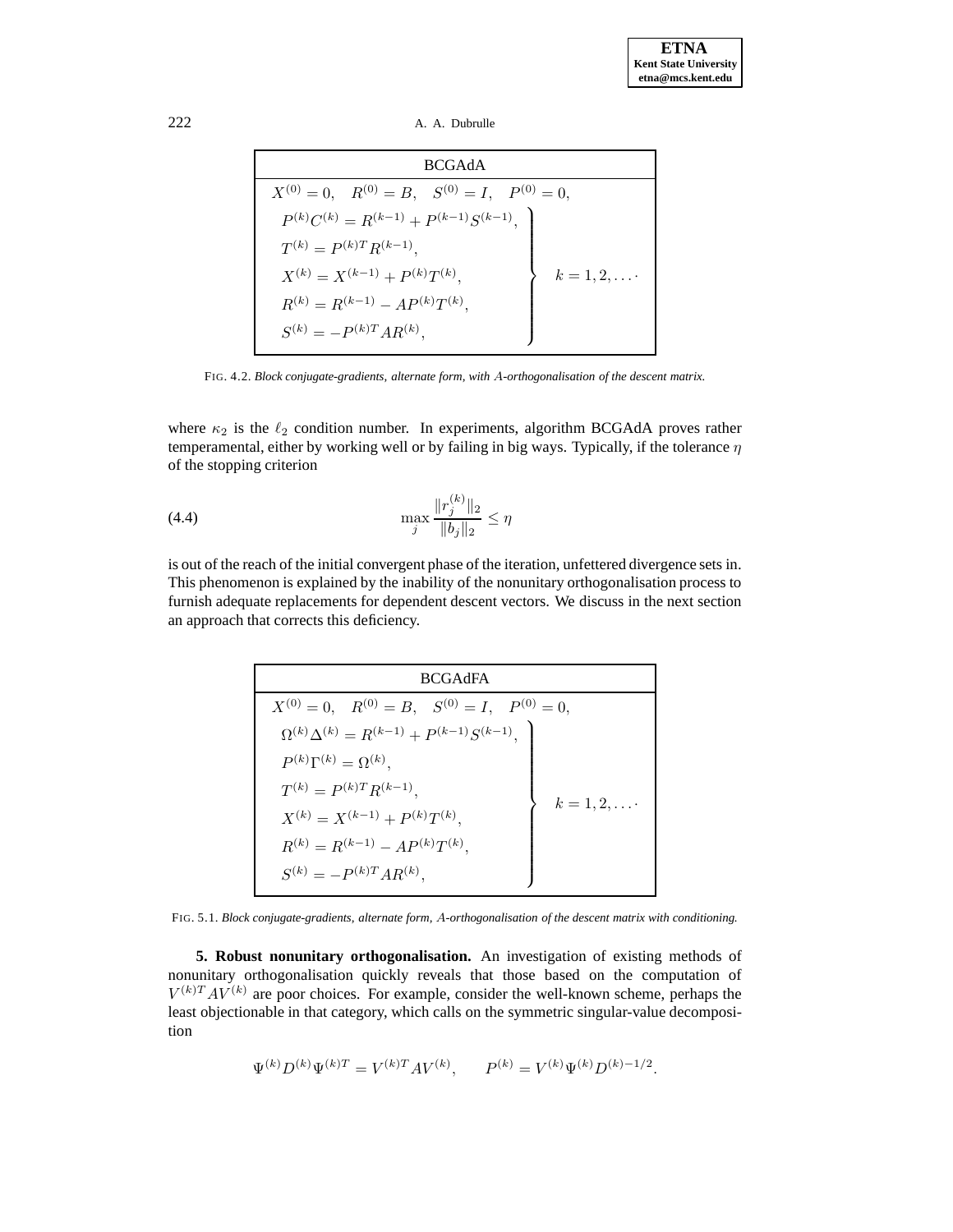222 A. A. Dubrulle

| <b>BCGAdA</b>                                                   |  |  |  |  |  |
|-----------------------------------------------------------------|--|--|--|--|--|
| $X^{(0)} = 0$ , $R^{(0)} = B$ , $S^{(0)} = I$ , $P^{(0)} = 0$ , |  |  |  |  |  |
| $P^{(k)}C^{(k)} = R^{(k-1)} + P^{(k-1)}S^{(k-1)},$              |  |  |  |  |  |
|                                                                 |  |  |  |  |  |
| $k=1,2,\ldots$                                                  |  |  |  |  |  |
|                                                                 |  |  |  |  |  |
|                                                                 |  |  |  |  |  |
|                                                                 |  |  |  |  |  |

FIG. 4.2. *Block conjugate-gradients, alternate form, with* A*-orthogonalisation of the descent matrix.*

where  $\kappa_2$  is the  $\ell_2$  condition number. In experiments, algorithm BCGAdA proves rather temperamental, either by working well or by failing in big ways. Typically, if the tolerance  $\eta$ of the stopping criterion

(4.4) 
$$
\max_{j} \frac{\|r_j^{(k)}\|_2}{\|b_j\|_2} \le \eta
$$

<span id="page-6-0"></span>is out of the reach of the initial convergent phase of the iteration, unfettered divergence sets in. This phenomenon is explained by the inability of the nonunitary orthogonalisation process to furnish adequate replacements for dependent descent vectors. We discuss in the next section an approach that corrects this deficiency.

| <b>BCGAdFA</b>                                                  |              |  |  |  |  |
|-----------------------------------------------------------------|--------------|--|--|--|--|
| $X^{(0)} = 0$ , $R^{(0)} = B$ , $S^{(0)} = I$ , $P^{(0)} = 0$ , |              |  |  |  |  |
| $\Omega^{(k)}\Delta^{(k)} = R^{(k-1)} + P^{(k-1)}S^{(k-1)},$    |              |  |  |  |  |
| $P^{(k)}\Gamma^{(k)}=\Omega^{(k)},$                             |              |  |  |  |  |
| $T^{(k)} = P^{(k)T}R^{(k-1)},$                                  |              |  |  |  |  |
| $X^{(k)} = X^{(k-1)} + P^{(k)}T^{(k)},$                         | $k = 1, 2, $ |  |  |  |  |
| $R^{(k)} = R^{(k-1)} - AP^{(k)}T^{(k)},$                        |              |  |  |  |  |
| $S^{(k)} = -P^{(k)T}AR^{(k)},$                                  |              |  |  |  |  |

FIG. 5.1. *Block conjugate-gradients, alternate form,* A*-orthogonalisation of the descent matrix with conditioning.*

**5. Robust nonunitary orthogonalisation.** An investigation of existing methods of nonunitary orthogonalisation quickly reveals that those based on the computation of  $V^{(k)T}AV^{(k)}$  are poor choices. For example, consider the well-known scheme, perhaps the least objectionable in that category, which calls on the symmetric singular-value decomposition

$$
\Psi^{(k)} D^{(k)} \Psi^{(k)T} = V^{(k)T} A V^{(k)}, \qquad P^{(k)} = V^{(k)} \Psi^{(k)} D^{(k)-1/2}.
$$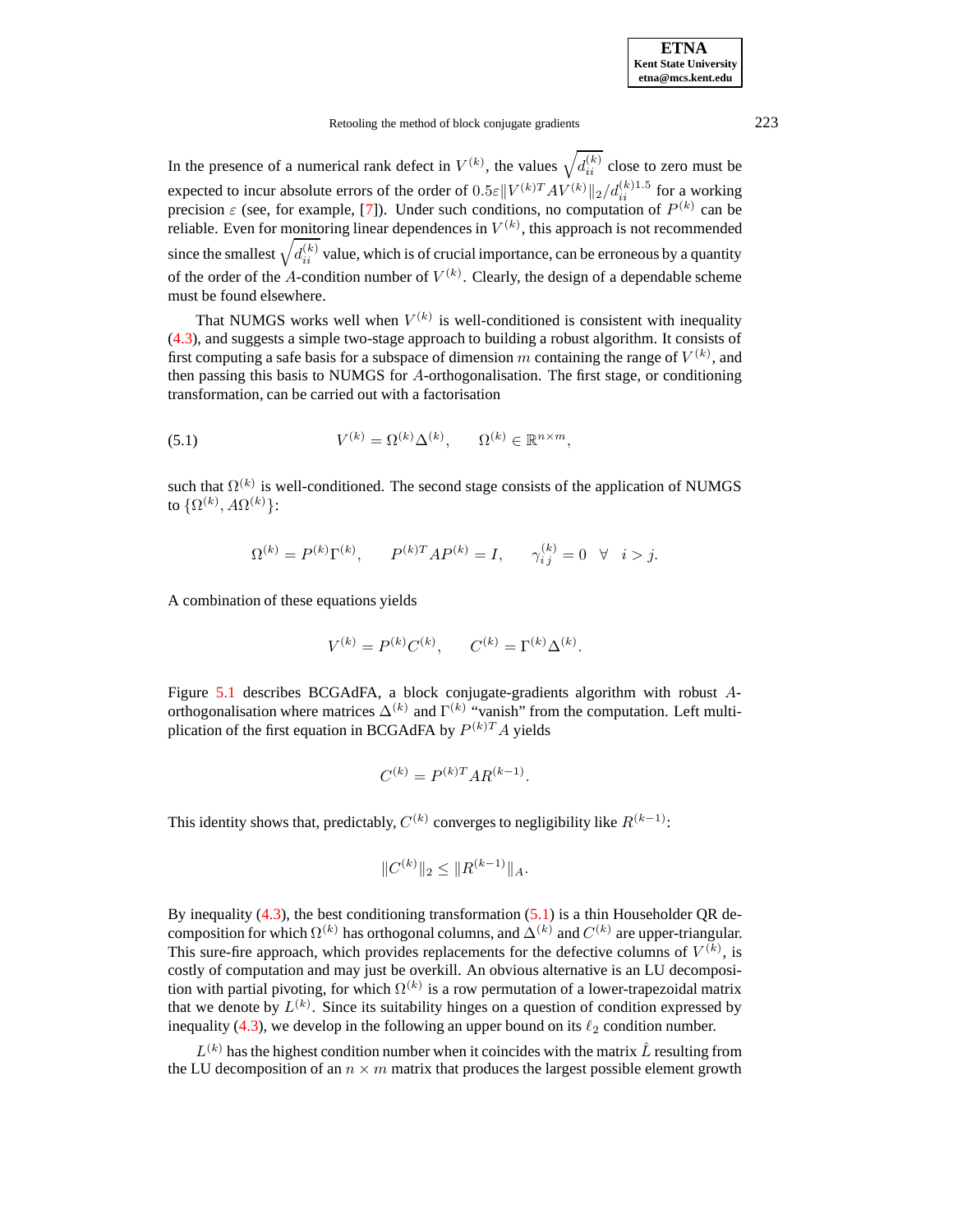| <b>ETNA</b>                  |
|------------------------------|
| <b>Kent State University</b> |
| etna@mcs.kent.edu            |

Retooling the method of block conjugate gradients 223

In the presence of a numerical rank defect in  $V^{(k)}$ , the values  $\sqrt{d_{ii}^{(k)}}$  close to zero must be expected to incur absolute errors of the order of  $0.5\varepsilon ||V^{(k)T}AV^{(k)}||_2/d_{ii}^{(k)1.5}$  for a working precision  $\varepsilon$  (see, for example, [\[7\]](#page-12-5)). Under such conditions, no computation of  $P^{(k)}$  can be reliable. Even for monitoring linear dependences in  $V^{(k)}$ , this approach is not recommended since the smallest  $\sqrt{d_{ii}^{(k)}}$  value, which is of crucial importance, can be erroneous by a quantity of the order of the A-condition number of  $V^{(k)}$ . Clearly, the design of a dependable scheme must be found elsewhere.

That NUMGS works well when  $V^{(k)}$  is well-conditioned is consistent with inequality [\(4.3\)](#page-5-5), and suggests a simple two-stage approach to building a robust algorithm. It consists of first computing a safe basis for a subspace of dimension m containing the range of  $V^{(k)}$ , and then passing this basis to NUMGS for A-orthogonalisation. The first stage, or conditioning transformation, can be carried out with a factorisation

<span id="page-7-0"></span>(5.1) 
$$
V^{(k)} = \Omega^{(k)} \Delta^{(k)}, \qquad \Omega^{(k)} \in \mathbb{R}^{n \times m},
$$

such that  $\Omega^{(k)}$  is well-conditioned. The second stage consists of the application of NUMGS to  $\{\Omega^{(k)}, A\Omega^{(k)}\}$ :

$$
\Omega^{(k)} = P^{(k)} \Gamma^{(k)}, \qquad P^{(k)T} A P^{(k)} = I, \qquad \gamma_{i\,j}^{(k)} = 0 \quad \forall \quad i > j.
$$

A combination of these equations yields

$$
V^{(k)} = P^{(k)}C^{(k)}, \qquad C^{(k)} = \Gamma^{(k)}\Delta^{(k)}.
$$

Figure [5.1](#page-10-1) describes BCGAdFA, a block conjugate-gradients algorithm with robust Aorthogonalisation where matrices  $\Delta^{(k)}$  and  $\Gamma^{(k)}$  "vanish" from the computation. Left multiplication of the first equation in BCGAdFA by  $P^{(k)T}A$  yields

$$
\boldsymbol{C}^{(k)} = \boldsymbol{P}^{(k)T} \boldsymbol{A} \boldsymbol{R}^{(k-1)}.
$$

This identity shows that, predictably,  $C^{(k)}$  converges to negligibility like  $R^{(k-1)}$ :

$$
||C^{(k)}||_2 \leq ||R^{(k-1)}||_A.
$$

By inequality  $(4.3)$ , the best conditioning transformation  $(5.1)$  is a thin Householder QR decomposition for which  $\Omega^{(k)}$  has orthogonal columns, and  $\Delta^{(k)}$  and  $C^{(k)}$  are upper-triangular. This sure-fire approach, which provides replacements for the defective columns of  $V^{(k)}$ , is costly of computation and may just be overkill. An obvious alternative is an LU decomposition with partial pivoting, for which  $\Omega^{(k)}$  is a row permutation of a lower-trapezoidal matrix that we denote by  $L^{(k)}$ . Since its suitability hinges on a question of condition expressed by inequality [\(4.3\)](#page-5-5), we develop in the following an upper bound on its  $\ell_2$  condition number.

 $L^{(k)}$  has the highest condition number when it coincides with the matrix  $\hat{L}$  resulting from the LU decomposition of an  $n \times m$  matrix that produces the largest possible element growth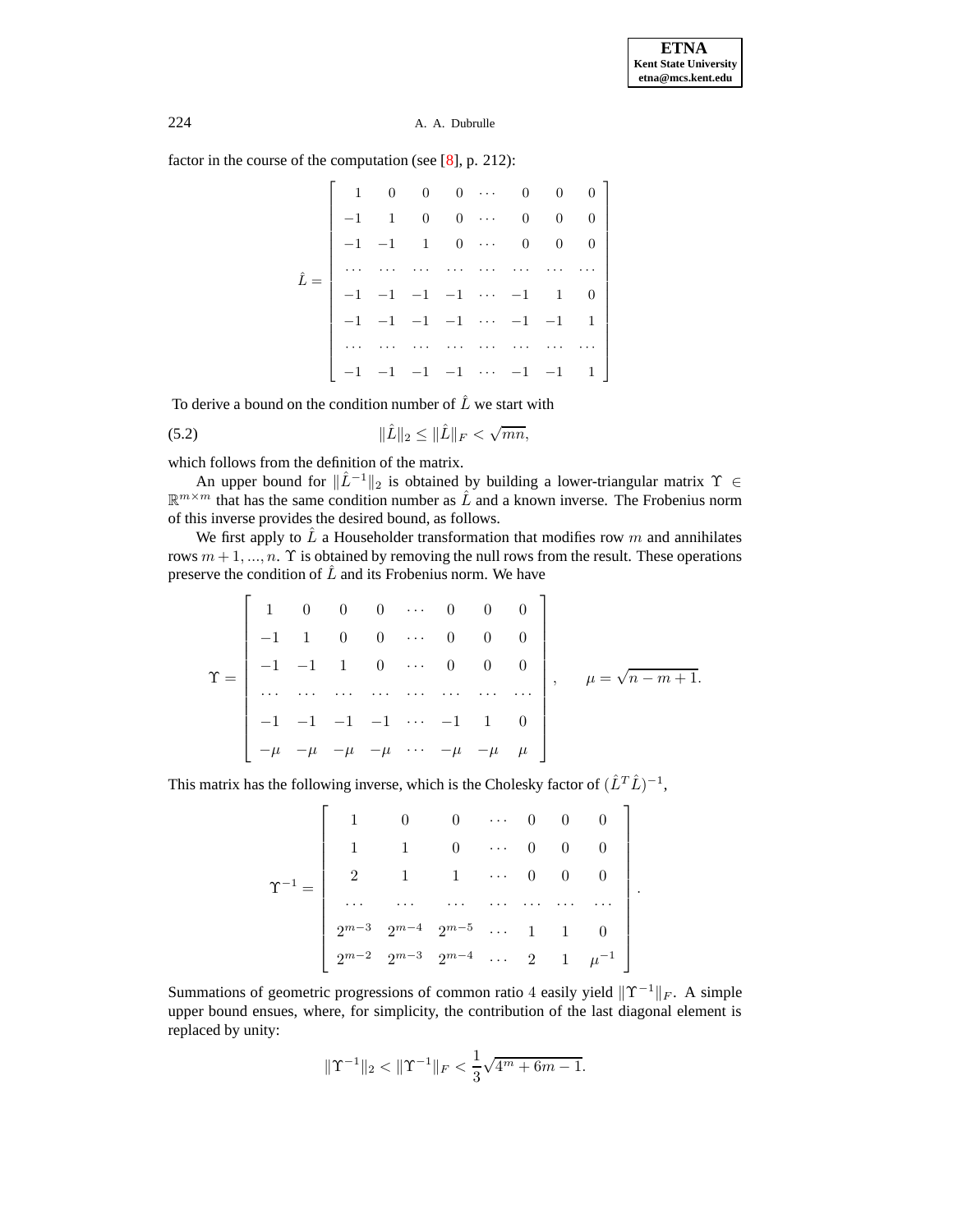factor in the course of the computation (see [\[8\]](#page-12-6), p. 212):

|  |                                   |                          |                         |                                         | $1 \quad 0 \quad 0 \quad 0 \quad \cdots \quad 0 \quad 0 \quad 0 \quad$ |  |
|--|-----------------------------------|--------------------------|-------------------------|-----------------------------------------|------------------------------------------------------------------------|--|
|  | $\begin{array}{cc} 1 \end{array}$ | $0 \quad 0 \quad \cdots$ | $\overline{\mathbf{0}}$ | $0\qquad 0$                             |                                                                        |  |
|  | $-1$ $-1$ $1$ 0 $\cdots$          |                          |                         | $\begin{matrix} 0 & 0 & 0 \end{matrix}$ |                                                                        |  |
|  |                                   |                          | .     .                 |                                         |                                                                        |  |
|  |                                   |                          |                         |                                         |                                                                        |  |
|  |                                   |                          |                         |                                         | $-1$ $-1$ $-1$ $-1$ $\cdots$ $-1$ $-1$ 1                               |  |
|  |                                   | .                        |                         | .                                       |                                                                        |  |
|  |                                   |                          |                         |                                         | $-1$ $-1$ $-1$ $-1$ $\cdots$ $-1$ $-1$ $1$                             |  |

To derive a bound on the condition number of  $\hat{L}$  we start with

<span id="page-8-0"></span>(5.2) 
$$
\|\hat{L}\|_2 \le \|\hat{L}\|_F < \sqrt{mn},
$$

which follows from the definition of the matrix.

An upper bound for  $\|\hat{L}^{-1}\|_2$  is obtained by building a lower-triangular matrix  $\Upsilon \in$  $\mathbb{R}^{m \times m}$  that has the same condition number as  $\hat{L}$  and a known inverse. The Frobenius norm of this inverse provides the desired bound, as follows.

We first apply to  $\hat{L}$  a Householder transformation that modifies row m and annihilates rows  $m + 1, ..., n$ . T is obtained by removing the null rows from the result. These operations preserve the condition of  $\hat{L}$  and its Frobenius norm. We have

$$
\Upsilon = \begin{bmatrix} 1 & 0 & 0 & 0 & \cdots & 0 & 0 & 0 \\ -1 & 1 & 0 & 0 & \cdots & 0 & 0 & 0 \\ -1 & -1 & 1 & 0 & \cdots & 0 & 0 & 0 \\ \cdots & \cdots & \cdots & \cdots & \cdots & \cdots & \cdots & \cdots \\ -1 & -1 & -1 & -1 & \cdots & -1 & 1 & 0 \\ -\mu & -\mu & -\mu & -\mu & \cdots & -\mu & -\mu & \mu \end{bmatrix}, \quad \mu = \sqrt{n-m+1}.
$$

This matrix has the following inverse, which is the Cholesky factor of  $(\hat{L}^T \hat{L})^{-1}$ ,

.

Summations of geometric progressions of common ratio 4 easily yield  $\Upsilon^{-1}\Vert_F$ . A simple upper bound ensues, where, for simplicity, the contribution of the last diagonal element is replaced by unity:

$$
\|\Upsilon^{-1}\|_2 < \|\Upsilon^{-1}\|_F < \frac{1}{3}\sqrt{4^m + 6m - 1}.
$$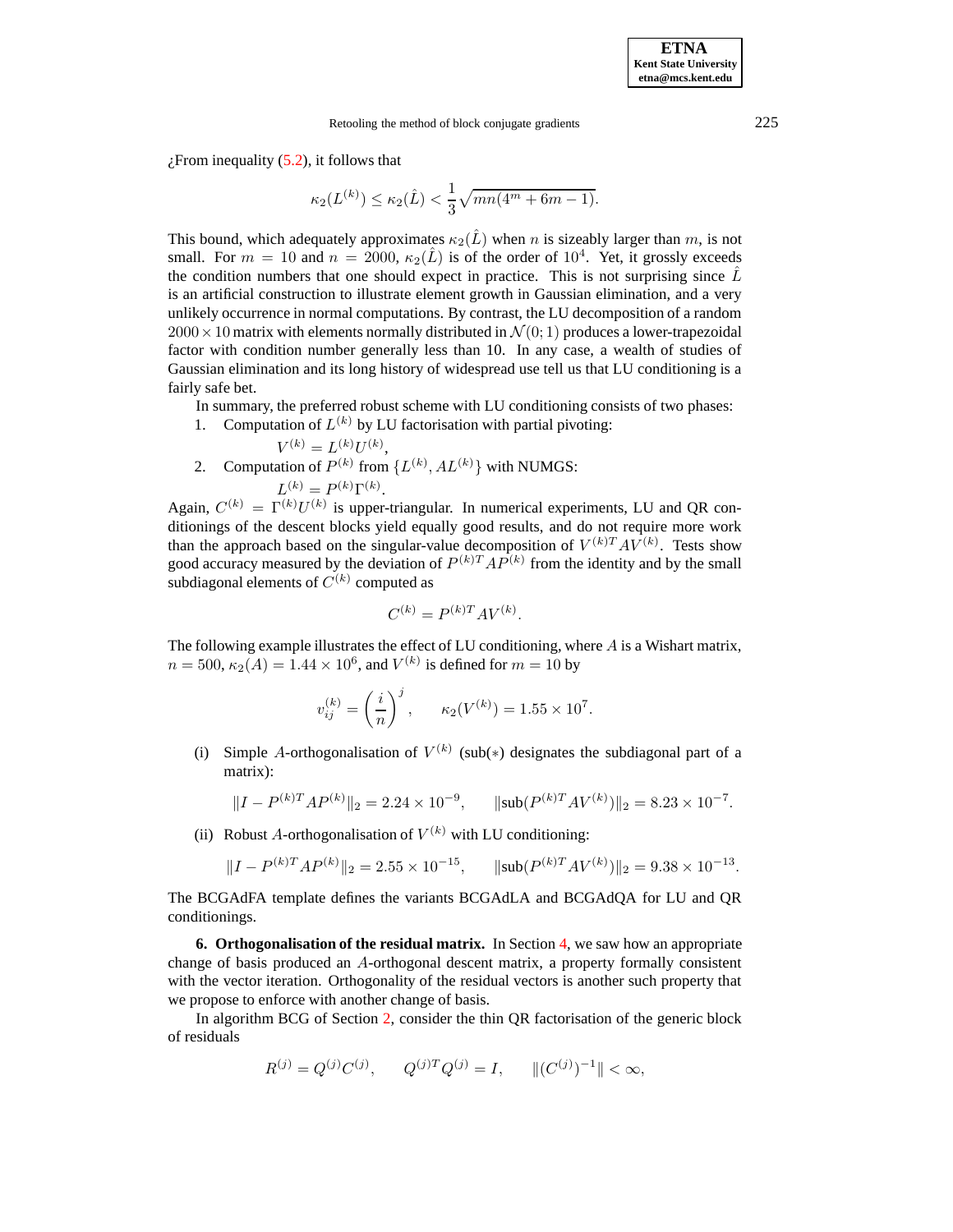$\chi$ From inequality [\(5.2\)](#page-8-0), it follows that

$$
\kappa_2(L^{(k)}) \le \kappa_2(\hat{L}) < \frac{1}{3} \sqrt{mn(4^m + 6m - 1)}.
$$

This bound, which adequately approximates  $\kappa_2(\hat{L})$  when n is sizeably larger than m, is not small. For  $m = 10$  and  $n = 2000$ ,  $\kappa_2(\hat{L})$  is of the order of  $10^4$ . Yet, it grossly exceeds the condition numbers that one should expect in practice. This is not surprising since  $\hat{L}$ is an artificial construction to illustrate element growth in Gaussian elimination, and a very unlikely occurrence in normal computations. By contrast, the LU decomposition of a random  $2000 \times 10$  matrix with elements normally distributed in  $\mathcal{N}(0, 1)$  produces a lower-trapezoidal factor with condition number generally less than 10. In any case, a wealth of studies of Gaussian elimination and its long history of widespread use tell us that LU conditioning is a fairly safe bet.

In summary, the preferred robust scheme with LU conditioning consists of two phases:

1. Computation of  $L^{(k)}$  by LU factorisation with partial pivoting:

$$
V^{(k)} = L^{(k)}U^{(k)},
$$

2. Computation of  $P^{(k)}$  from  $\{L^{(k)}, AL^{(k)}\}$  with NUMGS:  $L^{(k)} = P^{(k)} \Gamma^{(k)}$ .

Again,  $C^{(k)} = \Gamma^{(k)} U^{(k)}$  is upper-triangular. In numerical experiments, LU and QR conditionings of the descent blocks yield equally good results, and do not require more work than the approach based on the singular-value decomposition of  $V^{(k)T}AV^{(k)}$ . Tests show good accuracy measured by the deviation of  $P^{(k)T}AP^{(k)}$  from the identity and by the small subdiagonal elements of  $C^{(k)}$  computed as

$$
C^{(k)} = P^{(k)T}AV^{(k)}.
$$

The following example illustrates the effect of LU conditioning, where A is a Wishart matrix,  $n = 500$ ,  $\kappa_2(A) = 1.44 \times 10^6$ , and  $V^{(k)}$  is defined for  $m = 10$  by

$$
v_{ij}^{(k)} = \left(\frac{i}{n}\right)^j, \qquad \kappa_2(V^{(k)}) = 1.55 \times 10^7.
$$

(i) Simple A-orthogonalisation of  $V^{(k)}$  (sub(\*) designates the subdiagonal part of a matrix):

$$
||I - P^{(k)T}AP^{(k)}||_2 = 2.24 \times 10^{-9}, \qquad ||\text{sub}(P^{(k)T}AV^{(k)})||_2 = 8.23 \times 10^{-7}.
$$

(ii) Robust A-orthogonalisation of  $V^{(k)}$  with LU conditioning:

$$
||I - P^{(k)T}AP^{(k)}||_2 = 2.55 \times 10^{-15}, \qquad ||\text{sub}(P^{(k)T}AV^{(k)})||_2 = 9.38 \times 10^{-13}.
$$

The BCGAdFA template defines the variants BCGAdLA and BCGAdQA for LU and QR conditionings.

<span id="page-9-0"></span>**6. Orthogonalisation of the residual matrix.** In Section [4,](#page-4-0) we saw how an appropriate change of basis produced an A-orthogonal descent matrix, a property formally consistent with the vector iteration. Orthogonality of the residual vectors is another such property that we propose to enforce with another change of basis.

In algorithm BCG of Section [2,](#page-0-0) consider the thin QR factorisation of the generic block of residuals

$$
R^{(j)} = Q^{(j)}C^{(j)}, \qquad Q^{(j)T}Q^{(j)} = I, \qquad ||(C^{(j)})^{-1}|| < \infty,
$$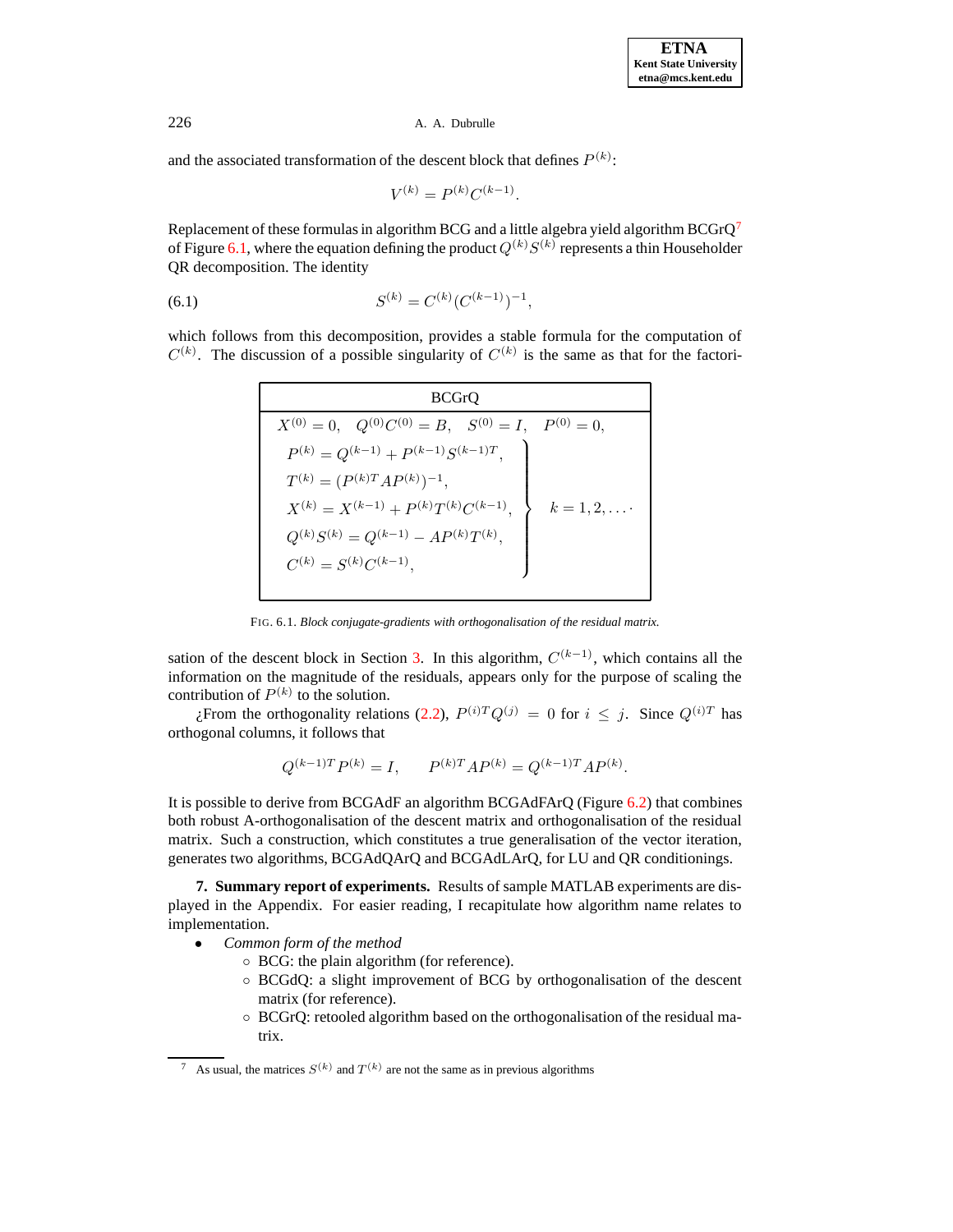and the associated transformation of the descent block that defines  $P^{(k)}$ :

$$
V^{(k)} = P^{(k)} C^{(k-1)}.
$$

Replacement of these formulas in algorithm BCG and a little algebra yield algorithm  $BCGrQ^7$  $BCGrQ^7$ of Figure [6.1,](#page-10-1) where the equation defining the product  $Q^{(k)}S^{(k)}$  represents a thin Householder QR decomposition. The identity

(6.1) 
$$
S^{(k)} = C^{(k)} (C^{(k-1)})^{-1},
$$

which follows from this decomposition, provides a stable formula for the computation of  $C^{(k)}$ . The discussion of a possible singularity of  $C^{(k)}$  is the same as that for the factori-

| <b>RCGLÓ</b>                                           |              |  |  |  |  |
|--------------------------------------------------------|--------------|--|--|--|--|
| $X^{(0)} = 0$ , $Q^{(0)}C^{(0)} = B$ , $S^{(0)} = I$ , | $P^{(0)}=0,$ |  |  |  |  |
| $P^{(k)} = Q^{(k-1)} + P^{(k-1)}S^{(k-1)T},$           |              |  |  |  |  |
| $T^{(k)} = (P^{(k)T}AP^{(k)})^{-1},$                   |              |  |  |  |  |
| $X^{(k)} = X^{(k-1)} + P^{(k)}T^{(k)}C^{(k-1)}$        | $k = 1, 2,$  |  |  |  |  |
| $Q^{(k)}S^{(k)} = Q^{(k-1)} - AP^{(k)}T^{(k)},$        |              |  |  |  |  |
| $C^{(k)} = S^{(k)}C^{(k-1)},$                          |              |  |  |  |  |

FIG. 6.1. *Block conjugate-gradients with orthogonalisation of the residual matrix.*

<span id="page-10-1"></span>sation of the descent block in Section [3.](#page-2-0) In this algorithm,  $C^{(k-1)}$ , which contains all the information on the magnitude of the residuals, appears only for the purpose of scaling the contribution of  $P^{(k)}$  to the solution.

 $\chi$ From the orthogonality relations [\(2.2\)](#page-1-1),  $P^{(i)T}Q^{(j)} = 0$  for  $i \leq j$ . Since  $Q^{(i)T}$  has orthogonal columns, it follows that

$$
Q^{(k-1)T}P^{(k)} = I, \qquad P^{(k)T}AP^{(k)} = Q^{(k-1)T}AP^{(k)}.
$$

It is possible to derive from BCGAdF an algorithm BCGAdFArQ (Figure [6.2\)](#page-11-0) that combines both robust A-orthogonalisation of the descent matrix and orthogonalisation of the residual matrix. Such a construction, which constitutes a true generalisation of the vector iteration, generates two algorithms, BCGAdQArQ and BCGAdLArQ, for LU and QR conditionings.

<span id="page-10-0"></span>**7. Summary report of experiments.** Results of sample MATLAB experiments are displayed in the Appendix. For easier reading, I recapitulate how algorithm name relates to implementation.

- *Common form of the method*
	- BCG: the plain algorithm (for reference).
	- BCGdQ: a slight improvement of BCG by orthogonalisation of the descent matrix (for reference).
	- BCGrQ: retooled algorithm based on the orthogonalisation of the residual matrix.

<span id="page-10-2"></span><sup>&</sup>lt;sup>7</sup> As usual, the matrices  $S^{(k)}$  and  $T^{(k)}$  are not the same as in previous algorithms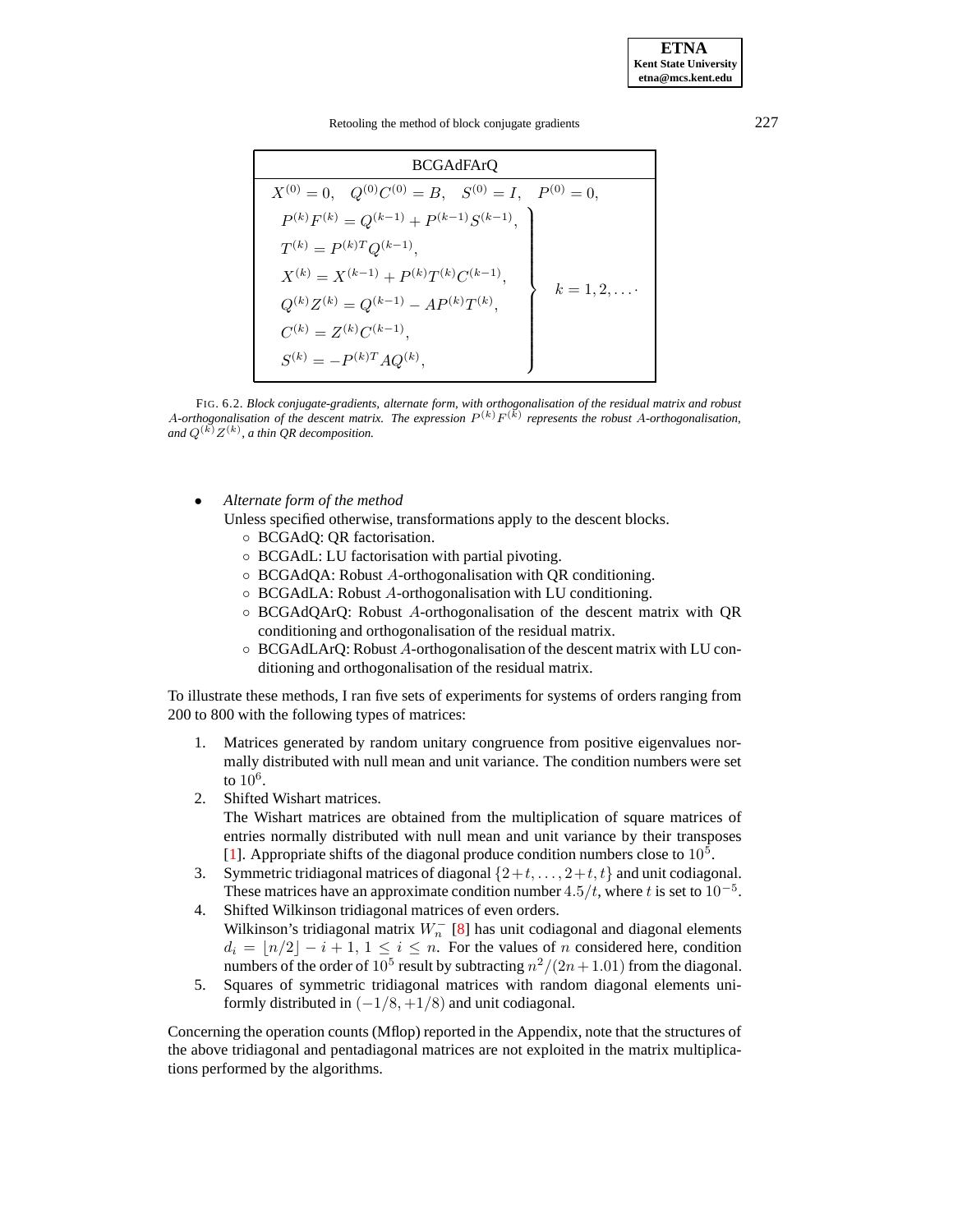Retooling the method of block conjugate gradients 227

BCGAdFArQ  
\n
$$
X^{(0)} = 0, \quad Q^{(0)}C^{(0)} = B, \quad S^{(0)} = I, \quad P^{(0)} = 0,
$$
\n
$$
P^{(k)}F^{(k)} = Q^{(k-1)} + P^{(k-1)}S^{(k-1)},
$$
\n
$$
T^{(k)} = P^{(k)T}Q^{(k-1)},
$$
\n
$$
X^{(k)} = X^{(k-1)} + P^{(k)}T^{(k)}C^{(k-1)},
$$
\n
$$
Q^{(k)}Z^{(k)} = Q^{(k-1)} - AP^{(k)}T^{(k)},
$$
\n
$$
C^{(k)} = Z^{(k)}C^{(k-1)},
$$
\n
$$
S^{(k)} = -P^{(k)T}AQ^{(k)},
$$

<span id="page-11-0"></span>FIG. 6.2. *Block conjugate-gradients, alternate form, with orthogonalisation of the residual matrix and robust* A-orthogonalisation of the descent matrix. The expression  $P^{(k)}F^{(k)}$  represents the robust A-orthogonalisation, and  $Q^{(k)}Z^{(k)}$ , a thin QR decomposition.

• *Alternate form of the method*

Unless specified otherwise, transformations apply to the descent blocks.

- BCGAdQ: QR factorisation.
- BCGAdL: LU factorisation with partial pivoting.
- BCGAdQA: Robust A-orthogonalisation with QR conditioning.
- BCGAdLA: Robust A-orthogonalisation with LU conditioning.
- BCGAdQArQ: Robust A-orthogonalisation of the descent matrix with QR conditioning and orthogonalisation of the residual matrix.
- BCGAdLArQ: Robust A-orthogonalisation of the descent matrix with LU conditioning and orthogonalisation of the residual matrix.

To illustrate these methods, I ran five sets of experiments for systems of orders ranging from 200 to 800 with the following types of matrices:

- 1. Matrices generated by random unitary congruence from positive eigenvalues normally distributed with null mean and unit variance. The condition numbers were set to  $10^6$ .
- 2. Shifted Wishart matrices. The Wishart matrices are obtained from the multiplication of square matrices of entries normally distributed with null mean and unit variance by their transposes
- [\[1\]](#page-12-7). Appropriate shifts of the diagonal produce condition numbers close to  $10^5$ . 3. Symmetric tridiagonal matrices of diagonal  $\{2+t, \ldots, 2+t, t\}$  and unit codiagonal.
- These matrices have an approximate condition number  $4.5/t$ , where t is set to  $10^{-5}$ . 4. Shifted Wilkinson tridiagonal matrices of even orders.
- Wilkinson's tridiagonal matrix  $W_n^-$  [\[8\]](#page-12-6) has unit codiagonal and diagonal elements  $d_i = |n/2| - i + 1, 1 \le i \le n$ . For the values of n considered here, condition numbers of the order of  $10^5$  result by subtracting  $n^2/(2n+1.01)$  from the diagonal.
- 5. Squares of symmetric tridiagonal matrices with random diagonal elements uniformly distributed in  $(-1/8, +1/8)$  and unit codiagonal.

Concerning the operation counts (Mflop) reported in the Appendix, note that the structures of the above tridiagonal and pentadiagonal matrices are not exploited in the matrix multiplications performed by the algorithms.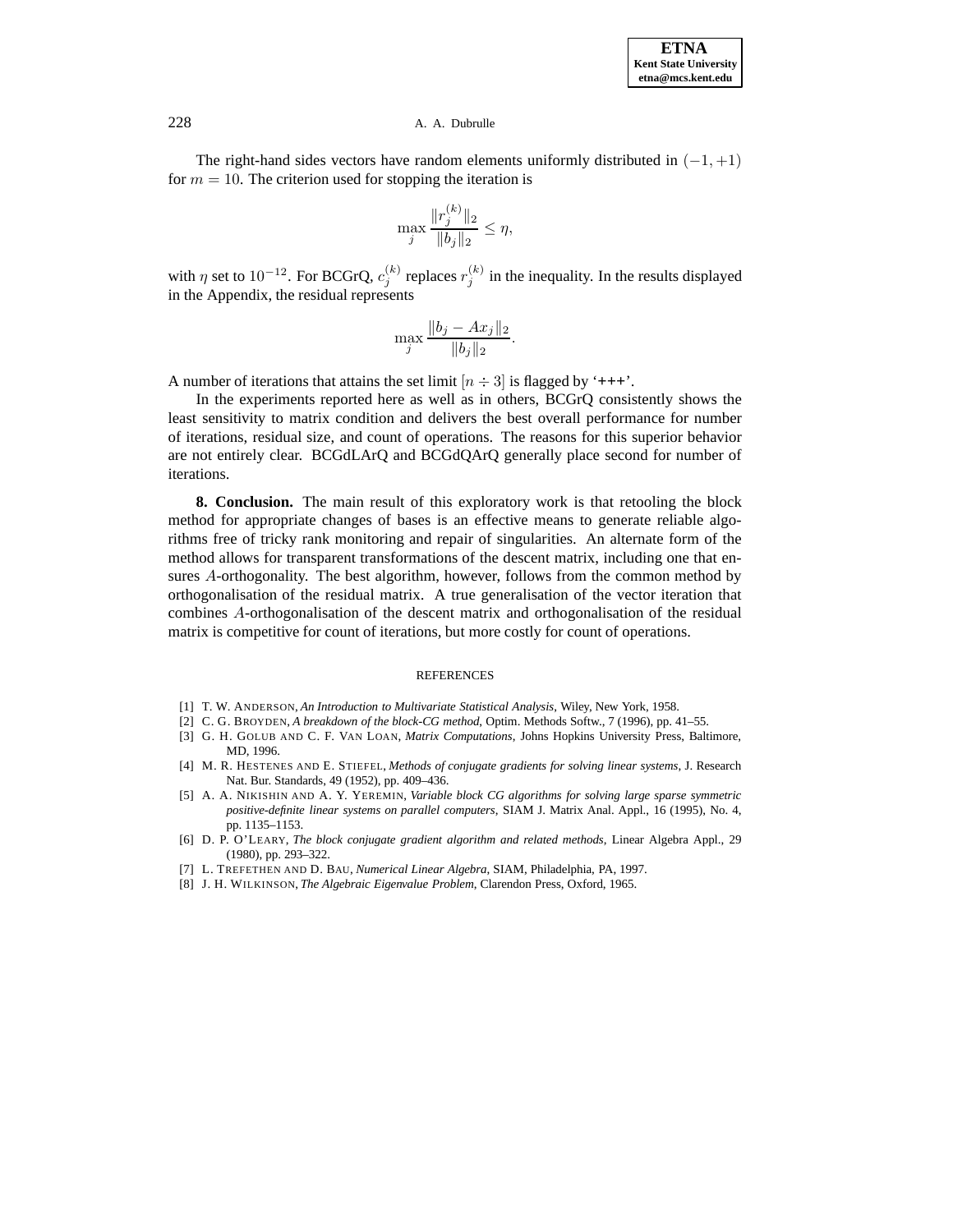The right-hand sides vectors have random elements uniformly distributed in  $(-1, +1)$ for  $m = 10$ . The criterion used for stopping the iteration is

$$
\max_{j} \frac{\|r_j^{(k)}\|_2}{\|b_j\|_2} \le \eta,
$$

with  $\eta$  set to 10<sup>-12</sup>. For BCGrQ,  $c_j^{(k)}$  replaces  $r_j^{(k)}$  in the inequality. In the results displayed in the Appendix, the residual represents

$$
\max_{j} \frac{\|b_j - Ax_j\|_2}{\|b_j\|_2}.
$$

A number of iterations that attains the set limit  $[n \div 3]$  is flagged by '+++'.

In the experiments reported here as well as in others, BCGrQ consistently shows the least sensitivity to matrix condition and delivers the best overall performance for number of iterations, residual size, and count of operations. The reasons for this superior behavior are not entirely clear. BCGdLArQ and BCGdQArQ generally place second for number of iterations.

**8. Conclusion.** The main result of this exploratory work is that retooling the block method for appropriate changes of bases is an effective means to generate reliable algorithms free of tricky rank monitoring and repair of singularities. An alternate form of the method allows for transparent transformations of the descent matrix, including one that ensures A-orthogonality. The best algorithm, however, follows from the common method by orthogonalisation of the residual matrix. A true generalisation of the vector iteration that combines A-orthogonalisation of the descent matrix and orthogonalisation of the residual matrix is competitive for count of iterations, but more costly for count of operations.

#### REFERENCES

- <span id="page-12-7"></span><span id="page-12-2"></span>[1] T. W. ANDERSON, *An Introduction to Multivariate Statistical Analysis*, Wiley, New York, 1958.
- [2] C. G. BROYDEN, *A breakdown of the block-CG method*, Optim. Methods Softw., 7 (1996), pp. 41–55.
- <span id="page-12-4"></span>[3] G. H. GOLUB AND C. F. VAN LOAN, *Matrix Computations*, Johns Hopkins University Press, Baltimore, MD, 1996.
- <span id="page-12-3"></span><span id="page-12-1"></span>[4] M. R. HESTENES AND E. STIEFEL, *Methods of conjugate gradients for solving linear systems*, J. Research Nat. Bur. Standards, 49 (1952), pp. 409–436.
- [5] A. A. NIKISHIN AND A. Y. YEREMIN, *Variable block CG algorithms for solving large sparse symmetric positive-definite linear systems on parallel computers*, SIAM J. Matrix Anal. Appl., 16 (1995), No. 4, pp. 1135–1153.
- <span id="page-12-5"></span><span id="page-12-0"></span>[6] D. P. O'LEARY, *The block conjugate gradient algorithm and related methods*, Linear Algebra Appl., 29 (1980), pp. 293–322.
- [7] L. TREFETHEN AND D. BAU, *Numerical Linear Algebra*, SIAM, Philadelphia, PA, 1997.
- <span id="page-12-6"></span>[8] J. H. WILKINSON, *The Algebraic Eigenvalue Problem*, Clarendon Press, Oxford, 1965.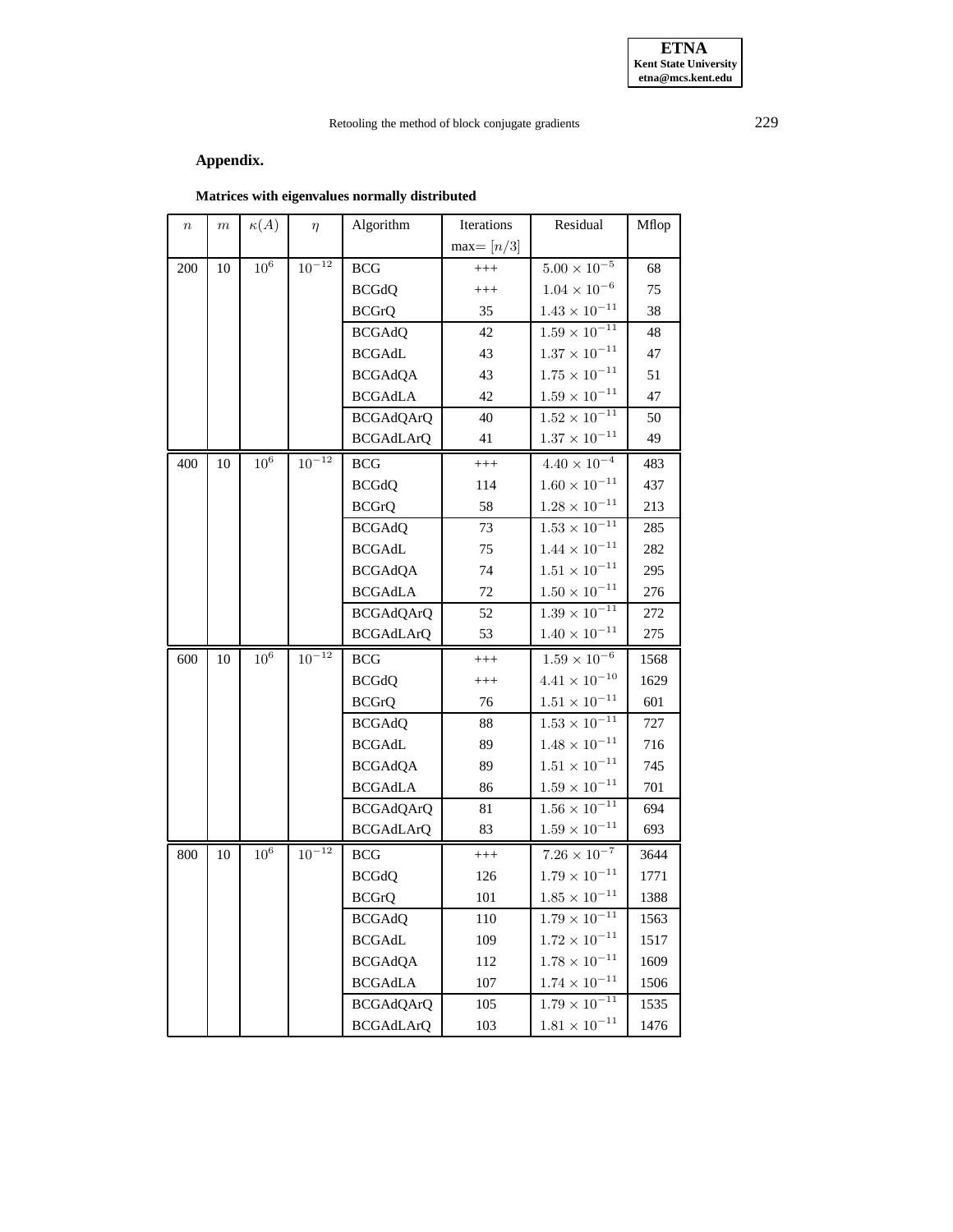## Retooling the method of block conjugate gradients 229

# **Appendix.**

# **Matrices with eigenvalues normally distributed**

| $\it n$ | $\,m$ | $\kappa(A)$         | $\eta$       | Algorithm        | Iterations  | Residual                        | Mflop |
|---------|-------|---------------------|--------------|------------------|-------------|---------------------------------|-------|
|         |       |                     |              |                  | $max=[n/3]$ |                                 |       |
| 200     | 10    | $10^6\,$            | $10^{-12}$   | BCG              | $^{+++}$    | $5.00\times10^{-5}$             | 68    |
|         |       |                     |              | <b>BCGdQ</b>     | $^{+++}$    | $1.04\times10^{-6}$             | 75    |
|         |       |                     |              | <b>BCGrQ</b>     | 35          | $1.43 \times 10^{-11}$          | 38    |
|         |       |                     |              | <b>BCGAdQ</b>    | 42          | $1.59 \times 10^{-11}$          | 48    |
|         |       |                     |              | <b>BCGAdL</b>    | 43          | $1.37\times10^{-11}$            | 47    |
|         |       |                     |              | <b>BCGAdQA</b>   | 43          | $1.75\times10^{-11}$            | 51    |
|         |       |                     |              | <b>BCGAdLA</b>   | 42          | $1.59 \times 10^{-11}$          | 47    |
|         |       |                     |              | <b>BCGAdQArQ</b> | 40          | $1.52\times10^{-11}$            | 50    |
|         |       |                     |              | <b>BCGAdLArQ</b> | 41          | $1.37 \times 10^{-11}$          | 49    |
| 400     | 10    | $10^{\overline{6}}$ | $10^{-12}\,$ | <b>BCG</b>       | $^{+++}$    | $4.40\times10^{-4}$             | 483   |
|         |       |                     |              | <b>BCGdQ</b>     | 114         | $1.60 \times 10^{-11}$          | 437   |
|         |       |                     |              | <b>BCGrQ</b>     | 58          | $1.28 \times 10^{-11}$          | 213   |
|         |       |                     |              | <b>BCGAdQ</b>    | 73          | $1.53\times10^{-11}$            | 285   |
|         |       |                     |              | <b>BCGAdL</b>    | 75          | $1.44\times10^{-11}$            | 282   |
|         |       |                     |              | <b>BCGAdQA</b>   | 74          | $1.51\times10^{-11}$            | 295   |
|         |       |                     |              | <b>BCGAdLA</b>   | 72          | $1.50\times10^{-11}$            | 276   |
|         |       |                     |              | <b>BCGAdQArQ</b> | 52          | $1.39 \times 10^{-11}$          | 272   |
|         |       |                     |              | <b>BCGAdLArQ</b> | 53          | $1.40 \times 10^{-11}$          | 275   |
| 600     | 10    | $10^{\overline{6}}$ | $10^{-12}$   | <b>BCG</b>       | $^{+++}$    | $1.59 \times 10^{-6}$           | 1568  |
|         |       |                     |              | <b>BCGdQ</b>     | $^{+++}$    | $4.41 \times 10^{-10}$          | 1629  |
|         |       |                     |              | <b>BCGrQ</b>     | 76          | $1.51 \times 10^{-11}$          | 601   |
|         |       |                     |              | <b>BCGAdQ</b>    | 88          | $1.53 \times 10^{-11}$          | 727   |
|         |       |                     |              | <b>BCGAdL</b>    | 89          | $1.48 \times 10^{-11}$          | 716   |
|         |       |                     |              | <b>BCGAdQA</b>   | 89          | $1.51 \times 10^{-11}$          | 745   |
|         |       |                     |              | <b>BCGAdLA</b>   | 86          | $1.59 \times 10^{-11}$          | 701   |
|         |       |                     |              | <b>BCGAdQArQ</b> | 81          | $1.56\times\overline{10^{-11}}$ | 694   |
|         |       |                     |              | <b>BCGAdLArQ</b> | 83          | $1.59 \times 10^{-11}$          | 693   |
| 800     | 10    | $10^6$              | $10^{-12}\,$ | <b>BCG</b>       | $^{+++}$    | $7.26\times10^{-7}$             | 3644  |
|         |       |                     |              | <b>BCGdQ</b>     | 126         | $1.79 \times 10^{-11}$          | 1771  |
|         |       |                     |              | <b>BCGrQ</b>     | 101         | $1.85 \times 10^{-11}$          | 1388  |
|         |       |                     |              | <b>BCGAdQ</b>    | 110         | $1.79\times10^{-11}$            | 1563  |
|         |       |                     |              | <b>BCGAdL</b>    | 109         | $1.72\times10^{-11}$            | 1517  |
|         |       |                     |              | <b>BCGAdQA</b>   | 112         | $1.78\times10^{-11}$            | 1609  |
|         |       |                     |              | <b>BCGAdLA</b>   | 107         | $1.74 \times 10^{-11}$          | 1506  |
|         |       |                     |              | <b>BCGAdQArQ</b> | 105         | $1.79 \times 10^{-11}$          | 1535  |
|         |       |                     |              | <b>BCGAdLArQ</b> | 103         | $1.81\times10^{-11}$            | 1476  |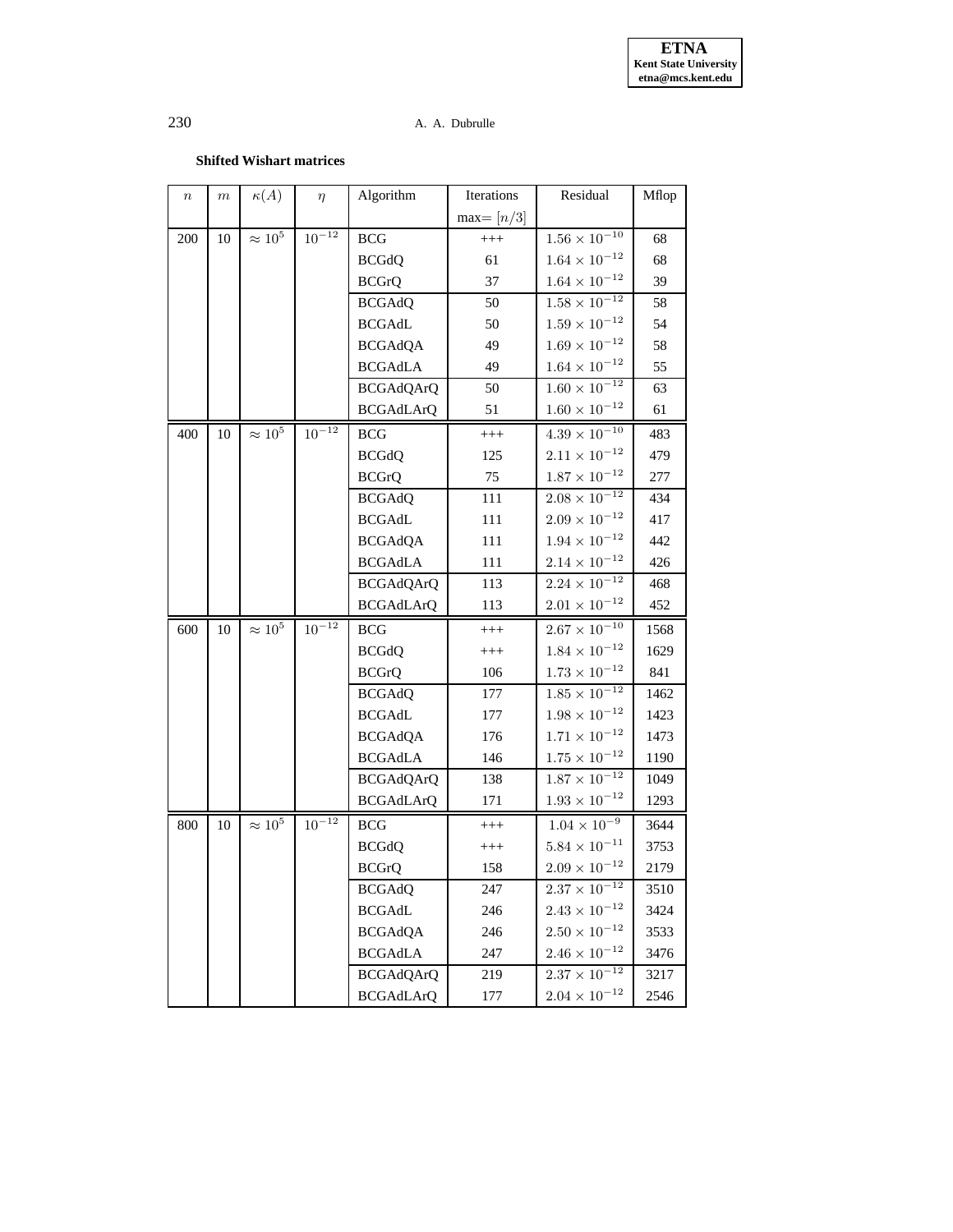### **Shifted Wishart matrices**

| $\, n$ | $\,m$ | $\kappa(A)$    | $\eta$       | Algorithm        | Iterations  | Residual                        | Mflop |
|--------|-------|----------------|--------------|------------------|-------------|---------------------------------|-------|
|        |       |                |              |                  | $max=[n/3]$ |                                 |       |
| 200    | 10    | $\approx 10^5$ | $10^{-12}$   | BCG              | $^{+++}$    | $1.56 \times 10^{-10}$          | 68    |
|        |       |                |              | <b>BCGdQ</b>     | 61          | $1.64\times10^{-12}$            | 68    |
|        |       |                |              | <b>BCGrQ</b>     | 37          | $1.64\times10^{-12}$            | 39    |
|        |       |                |              | <b>BCGAdQ</b>    | 50          | $1.58\times\overline{10^{-12}}$ | 58    |
|        |       |                |              | <b>BCGAdL</b>    | 50          | $1.59\times10^{-12}$            | 54    |
|        |       |                |              | <b>BCGAdQA</b>   | 49          | $1.69\times10^{-12}$            | 58    |
|        |       |                |              | <b>BCGAdLA</b>   | 49          | $1.64 \times 10^{-12}$          | 55    |
|        |       |                |              | <b>BCGAdQArQ</b> | 50          | $1.60 \times 10^{-12}$          | 63    |
|        |       |                |              | <b>BCGAdLArQ</b> | 51          | $1.60\times10^{-12}$            | 61    |
| 400    | 10    | $\approx 10^5$ | $10^{-12}\,$ | <b>BCG</b>       | $^{+++}$    | $4.39\times10^{-10}$            | 483   |
|        |       |                |              | <b>BCGdQ</b>     | 125         | $2.11\times10^{-12}$            | 479   |
|        |       |                |              | <b>BCGrQ</b>     | 75          | $1.87 \times 10^{-12}$          | 277   |
|        |       |                |              | <b>BCGAdQ</b>    | 111         | $2.08 \times 10^{-12}$          | 434   |
|        |       |                |              | <b>BCGAdL</b>    | 111         | $2.09\times10^{-12}$            | 417   |
|        |       |                |              | <b>BCGAdQA</b>   | 111         | $1.94\times10^{-12}$            | 442   |
|        |       |                |              | <b>BCGAdLA</b>   | 111         | $2.14\times10^{-12}$            | 426   |
|        |       |                |              | <b>BCGAdQArQ</b> | 113         | $2.24 \times 10^{-12}$          | 468   |
|        |       |                |              | <b>BCGAdLArQ</b> | 113         | $2.01\times10^{-12}$            | 452   |
| 600    | 10    | $\approx 10^5$ | $10^{-12}$   | <b>BCG</b>       | $^{+++}$    | $2.67 \times 10^{-10}$          | 1568  |
|        |       |                |              | <b>BCGdQ</b>     | $^{+++}$    | $1.84\times10^{-12}$            | 1629  |
|        |       |                |              | <b>BCGrQ</b>     | 106         | $1.73 \times 10^{-12}$          | 841   |
|        |       |                |              | <b>BCGAdQ</b>    | 177         | $1.85 \times 10^{-12}$          | 1462  |
|        |       |                |              | <b>BCGAdL</b>    | 177         | $1.98\times10^{-12}$            | 1423  |
|        |       |                |              | <b>BCGAdQA</b>   | 176         | $1.71\times10^{-12}$            | 1473  |
|        |       |                |              | <b>BCGAdLA</b>   | 146         | $1.75\times10^{-12}$            | 1190  |
|        |       |                |              | <b>BCGAdQArQ</b> | 138         | $1.87 \times 10^{-12}$          | 1049  |
|        |       |                |              | <b>BCGAdLArQ</b> | 171         | $1.93 \times 10^{-12}$          | 1293  |
| 800    | 10    | $\approx 10^5$ | $10^{-12}$   | <b>BCG</b>       | $^{+++}$    | $1.04 \times 10^{-9}$           | 3644  |
|        |       |                |              | <b>BCGdQ</b>     | $^{+++}$    | $5.84 \times 10^{-11}$          | 3753  |
|        |       |                |              | <b>BCGrQ</b>     | 158         | $2.09 \times 10^{-12}$          | 2179  |
|        |       |                |              | <b>BCGAdQ</b>    | 247         | $2.37\times10^{-12}$            | 3510  |
|        |       |                |              | <b>BCGAdL</b>    | 246         | $2.43\times10^{-12}$            | 3424  |
|        |       |                |              | <b>BCGAdQA</b>   | 246         | $2.50\times10^{-12}$            | 3533  |
|        |       |                |              | <b>BCGAdLA</b>   | 247         | $2.46 \times 10^{-12}$          | 3476  |
|        |       |                |              | <b>BCGAdQArQ</b> | 219         | $2.37 \times 10^{-12}$          | 3217  |
|        |       |                |              | <b>BCGAdLArQ</b> | 177         | $2.04 \times 10^{-12}$          | 2546  |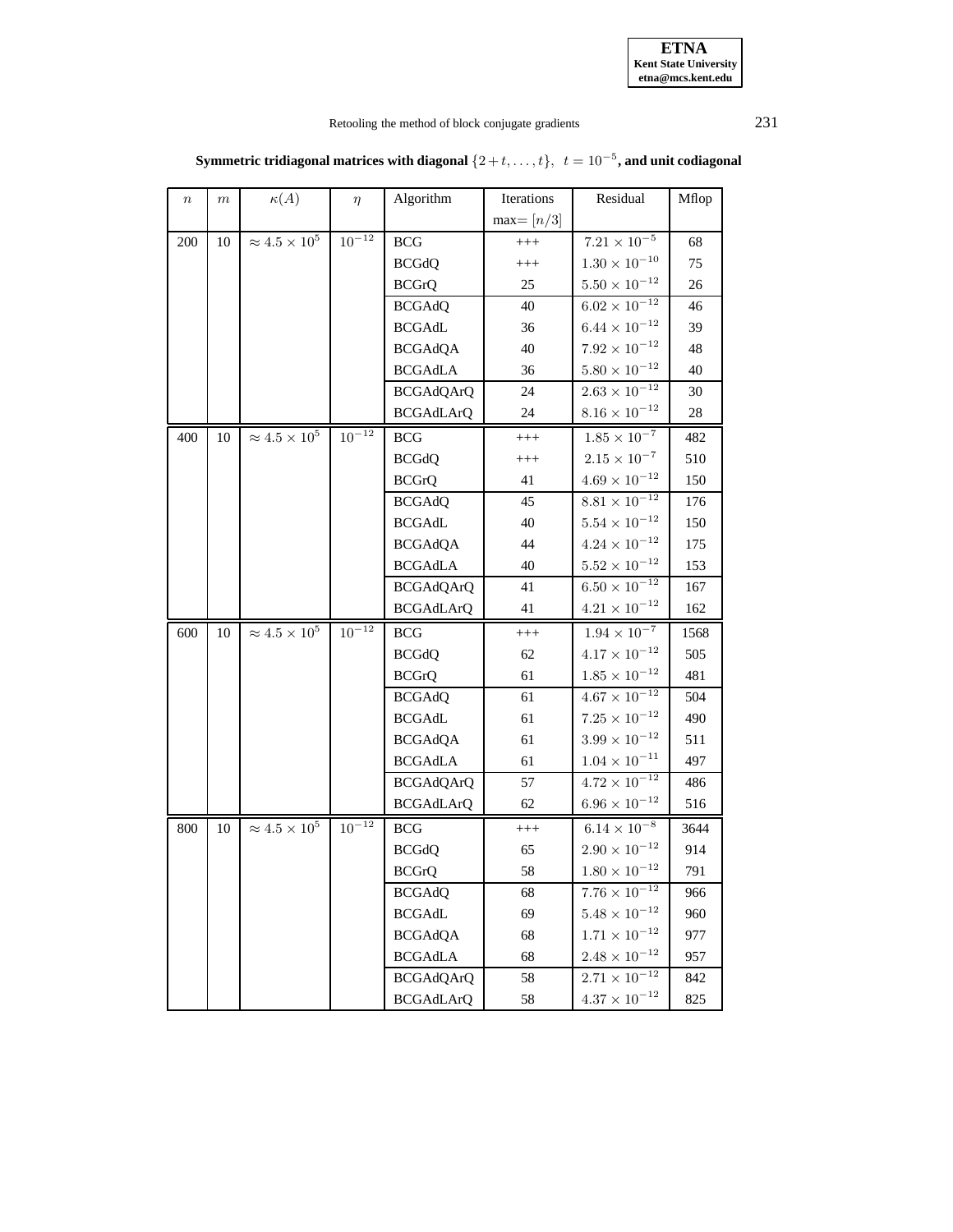| <b>ETNA</b>                  |
|------------------------------|
| <b>Kent State University</b> |
| etna@mcs.kent.edu            |

# Retooling the method of block conjugate gradients 231

| $\, n$ | $\,m$ | $\kappa(A)$               | $\eta$     | Algorithm        | Iterations  | Residual               | Mflop |
|--------|-------|---------------------------|------------|------------------|-------------|------------------------|-------|
|        |       |                           |            |                  | $max=[n/3]$ |                        |       |
| 200    | 10    | $\approx 4.5 \times 10^5$ | $10^{-12}$ | <b>BCG</b>       | $^{+++}$    | $7.21\times10^{-5}$    | 68    |
|        |       |                           |            | <b>BCGdQ</b>     | $^{+++}$    | $1.30 \times 10^{-10}$ | 75    |
|        |       |                           |            | <b>BCGrQ</b>     | 25          | $5.50 \times 10^{-12}$ | 26    |
|        |       |                           |            | <b>BCGAdQ</b>    | 40          | $6.02\times10^{-12}$   | 46    |
|        |       |                           |            | <b>BCGAdL</b>    | 36          | $6.44\times10^{-12}$   | 39    |
|        |       |                           |            | <b>BCGAdQA</b>   | 40          | $7.92\times10^{-12}$   | 48    |
|        |       |                           |            | <b>BCGAdLA</b>   | 36          | $5.80 \times 10^{-12}$ | 40    |
|        |       |                           |            | <b>BCGAdQArQ</b> | 24          | $2.63\times10^{-12}$   | 30    |
|        |       |                           |            | <b>BCGAdLArQ</b> | 24          | $8.16 \times 10^{-12}$ | 28    |
| 400    | 10    | $\approx 4.5 \times 10^5$ | $10^{-12}$ | $_{\rm BCG}$     | $^{+++}$    | $1.85 \times 10^{-7}$  | 482   |
|        |       |                           |            | <b>BCGdQ</b>     | $^{+++}$    | $2.15 \times 10^{-7}$  | 510   |
|        |       |                           |            | <b>BCGrQ</b>     | 41          | $4.69 \times 10^{-12}$ | 150   |
|        |       |                           |            | <b>BCGAdQ</b>    | 45          | $8.81\times10^{-12}$   | 176   |
|        |       |                           |            | <b>BCGAdL</b>    | 40          | $5.54\times10^{-12}$   | 150   |
|        |       |                           |            | <b>BCGAdQA</b>   | 44          | $4.24 \times 10^{-12}$ | 175   |
|        |       |                           |            | <b>BCGAdLA</b>   | 40          | $5.52\times10^{-12}$   | 153   |
|        |       |                           |            | <b>BCGAdQArQ</b> | 41          | $6.50 \times 10^{-12}$ | 167   |
|        |       |                           |            | <b>BCGAdLArQ</b> | 41          | $4.21 \times 10^{-12}$ | 162   |
| 600    | 10    | $\approx 4.5 \times 10^5$ | $10^{-12}$ | <b>BCG</b>       | $^{+++}$    | $1.94 \times 10^{-7}$  | 1568  |
|        |       |                           |            | <b>BCGdQ</b>     | 62          | $4.17 \times 10^{-12}$ | 505   |
|        |       |                           |            | <b>BCGrQ</b>     | 61          | $1.85 \times 10^{-12}$ | 481   |
|        |       |                           |            | <b>BCGAdQ</b>    | 61          | $4.67\times10^{-12}$   | 504   |
|        |       |                           |            | <b>BCGAdL</b>    | 61          | $7.25\times10^{-12}$   | 490   |
|        |       |                           |            | <b>BCGAdQA</b>   | 61          | $3.99\times10^{-12}$   | 511   |
|        |       |                           |            | <b>BCGAdLA</b>   | 61          | $1.04 \times 10^{-11}$ | 497   |
|        |       |                           |            | <b>BCGAdQArQ</b> | 57          | $4.72 \times 10^{-12}$ | 486   |
|        |       |                           |            | <b>BCGAdLArQ</b> | 62          | $6.96 \times 10^{-12}$ | 516   |
| 800    | 10    | $\approx 4.5 \times 10^5$ | $10^{-12}$ | <b>BCG</b>       | $^{+++}$    | $6.14\times10^{-8}$    | 3644  |
|        |       |                           |            | <b>BCGdQ</b>     | 65          | $2.90\times10^{-12}$   | 914   |
|        |       |                           |            | <b>BCGrQ</b>     | 58          | $1.80\times 10^{-12}$  | 791   |
|        |       |                           |            | <b>BCGAdQ</b>    | 68          | $7.76\times10^{-12}$   | 966   |
|        |       |                           |            | <b>BCGAdL</b>    | 69          | $5.48\times10^{-12}$   | 960   |
|        |       |                           |            | <b>BCGAdQA</b>   | 68          | $1.71\times10^{-12}$   | 977   |
|        |       |                           |            | <b>BCGAdLA</b>   | 68          | $2.48 \times 10^{-12}$ | 957   |
|        |       |                           |            | <b>BCGAdQArQ</b> | 58          | $2.71 \times 10^{-12}$ | 842   |
|        |       |                           |            | <b>BCGAdLArQ</b> | 58          | $4.37 \times 10^{-12}$ | 825   |

### ${\bf Sym}$  **metric**  ${\bf tridiagonal\ matrices\ with\ diagonal\ \{2+t,\ldots,t\},\ \ t=10^{-5},$  and  ${\bf unit\ codiagonal\ }$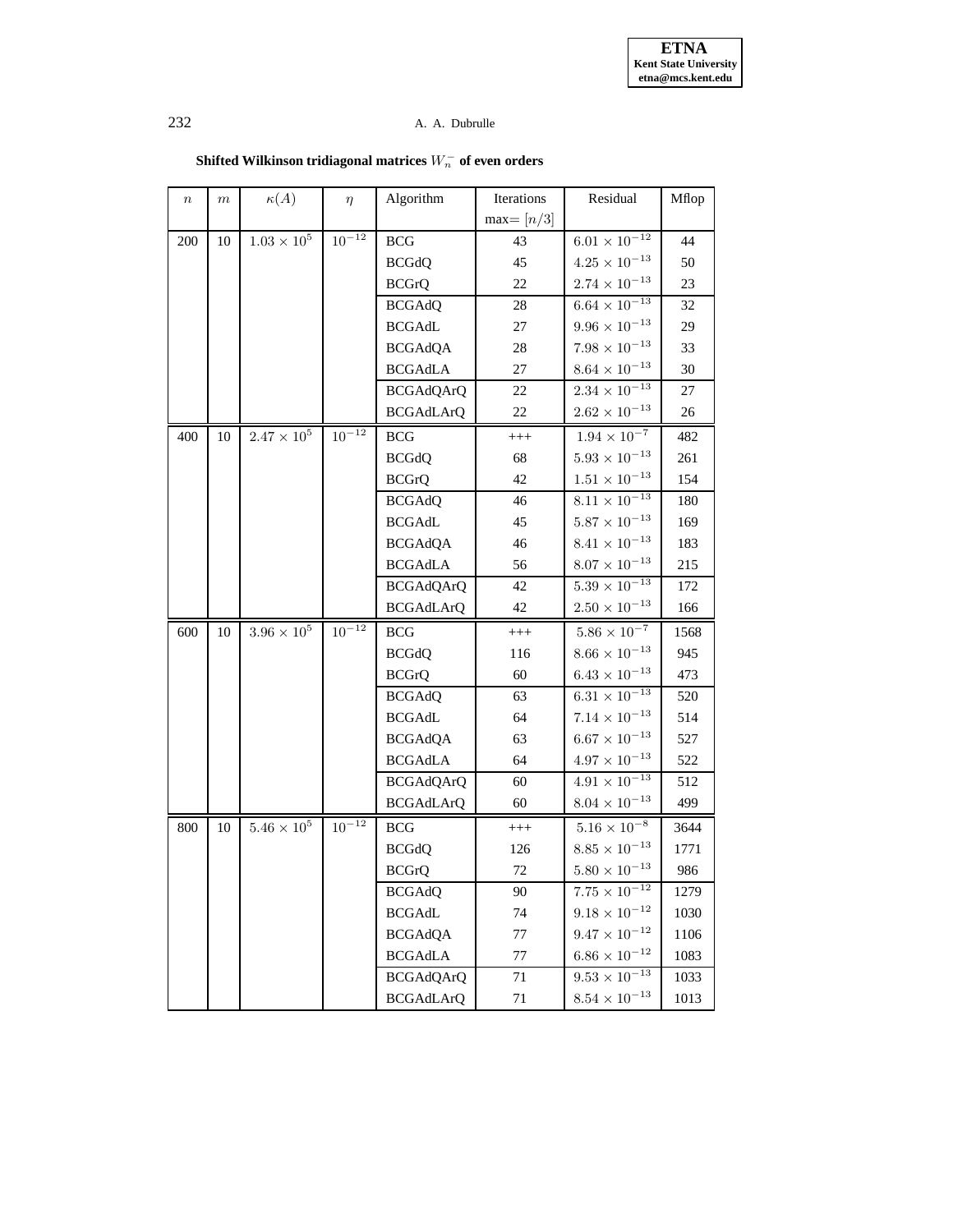| $\,n$ | $\,m$ | $\kappa(A)$      | $\eta$       | Algorithm        | Iterations  | Residual               | Mflop |
|-------|-------|------------------|--------------|------------------|-------------|------------------------|-------|
|       |       |                  |              |                  | $max=[n/3]$ |                        |       |
| 200   | 10    | $1.03\times10^5$ | $10^{-12}$   | $_{\rm BCG}$     | 43          | $6.01\times10^{-12}$   | 44    |
|       |       |                  |              | <b>BCGdQ</b>     | 45          | $4.25\times10^{-13}$   | 50    |
|       |       |                  |              | <b>BCGrQ</b>     | 22          | $2.74\times10^{-13}$   | 23    |
|       |       |                  |              | <b>BCGAdQ</b>    | 28          | $6.64\times10^{-13}$   | 32    |
|       |       |                  |              | <b>BCGAdL</b>    | 27          | $9.96\times 10^{-13}$  | 29    |
|       |       |                  |              | <b>BCGAdQA</b>   | 28          | $7.98\times10^{-13}$   | 33    |
|       |       |                  |              | <b>BCGAdLA</b>   | $27\,$      | $8.64\times 10^{-13}$  | 30    |
|       |       |                  |              | <b>BCGAdQArQ</b> | 22          | $2.34 \times 10^{-13}$ | 27    |
|       |       |                  |              | <b>BCGAdLArQ</b> | 22          | $2.62 \times 10^{-13}$ | 26    |
| 400   | 10    | $2.47\times10^5$ | $10^{-12}$   | <b>BCG</b>       | $^{+++}$    | $1.94\times10^{-7}$    | 482   |
|       |       |                  |              | <b>BCGdQ</b>     | 68          | $5.93 \times 10^{-13}$ | 261   |
|       |       |                  |              | <b>BCGrQ</b>     | 42          | $1.51 \times 10^{-13}$ | 154   |
|       |       |                  |              | <b>BCGAdQ</b>    | 46          | $8.11 \times 10^{-13}$ | 180   |
|       |       |                  |              | <b>BCGAdL</b>    | 45          | $5.87\times10^{-13}$   | 169   |
|       |       |                  |              | <b>BCGAdQA</b>   | 46          | $8.41\times10^{-13}$   | 183   |
|       |       |                  |              | <b>BCGAdLA</b>   | 56          | $8.07\times10^{-13}$   | 215   |
|       |       |                  |              | <b>BCGAdQArQ</b> | 42          | $5.39\times10^{-13}$   | 172   |
|       |       |                  |              | <b>BCGAdLArQ</b> | 42          | $2.50 \times 10^{-13}$ | 166   |
| 600   | 10    | $3.96\times10^5$ | $10^{-12}\,$ | <b>BCG</b>       | $^{+++}$    | $5.86\times10^{-7}$    | 1568  |
|       |       |                  |              | <b>BCGdQ</b>     | 116         | $8.66\times 10^{-13}$  | 945   |
|       |       |                  |              | <b>BCGrQ</b>     | 60          | $6.43 \times 10^{-13}$ | 473   |
|       |       |                  |              | <b>BCGAdQ</b>    | 63          | $6.31\times10^{-13}$   | 520   |
|       |       |                  |              | <b>BCGAdL</b>    | 64          | $7.14\times10^{-13}$   | 514   |
|       |       |                  |              | <b>BCGAdQA</b>   | 63          | $6.67 \times 10^{-13}$ | 527   |
|       |       |                  |              | <b>BCGAdLA</b>   | 64          | $4.97 \times 10^{-13}$ | 522   |
|       |       |                  |              | <b>BCGAdQArQ</b> | 60          | $4.91\times10^{-13}$   | 512   |
|       |       |                  |              | <b>BCGAdLArQ</b> | 60          | $8.04 \times 10^{-13}$ | 499   |
| 800   | 10    | $5.46\times10^5$ | $10^{-12}\,$ | $_{\rm BCG}$     | $^{+++}$    | $5.16\times10^{-8}$    | 3644  |
|       |       |                  |              | <b>BCGdQ</b>     | 126         | $8.85 \times 10^{-13}$ | 1771  |
|       |       |                  |              | <b>BCGrQ</b>     | 72          | $5.80\times10^{-13}$   | 986   |
|       |       |                  |              | <b>BCGAdQ</b>    | 90          | $7.75\times10^{-12}$   | 1279  |
|       |       |                  |              | <b>BCGAdL</b>    | 74          | $9.18\times10^{-12}$   | 1030  |
|       |       |                  |              | <b>BCGAdQA</b>   | 77          | $9.47 \times 10^{-12}$ | 1106  |
|       |       |                  |              | <b>BCGAdLA</b>   | 77          | $6.86 \times 10^{-12}$ | 1083  |
|       |       |                  |              | <b>BCGAdQArQ</b> | 71          | $9.53 \times 10^{-13}$ | 1033  |
|       |       |                  |              | <b>BCGAdLArQ</b> | 71          | $8.54 \times 10^{-13}$ | 1013  |

 $\mathbf{Shifted}\text{ Wilkinson tridiagonal}\text{ matrices }W_{n}^{+}\text{ of even orders}$